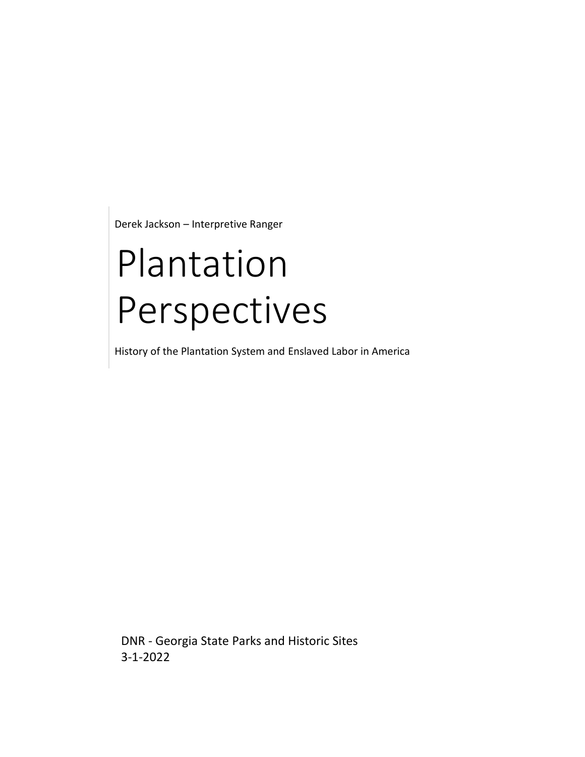Derek Jackson – Interpretive Ranger

# Plantation Perspectives

History of the Plantation System and Enslaved Labor in America

DNR - Georgia State Parks and Historic Sites 3-1-2022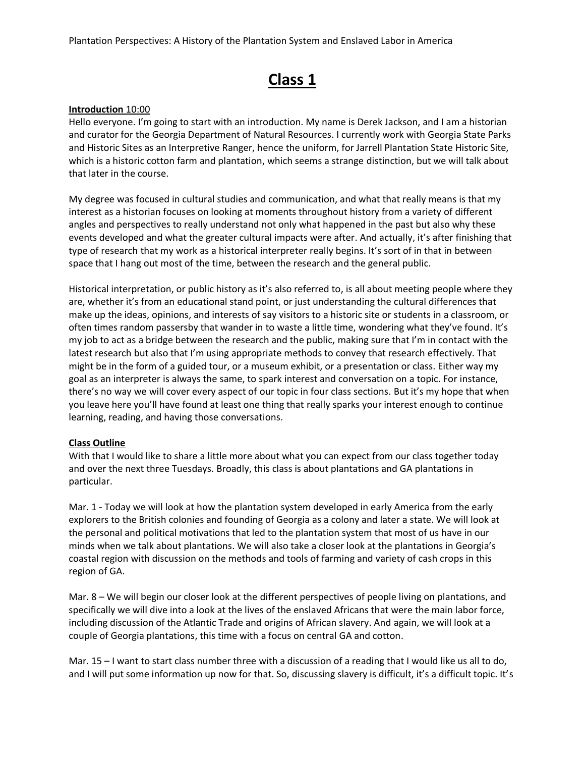# **Class 1**

#### **Introduction** 10:00

Hello everyone. I'm going to start with an introduction. My name is Derek Jackson, and I am a historian and curator for the Georgia Department of Natural Resources. I currently work with Georgia State Parks and Historic Sites as an Interpretive Ranger, hence the uniform, for Jarrell Plantation State Historic Site, which is a historic cotton farm and plantation, which seems a strange distinction, but we will talk about that later in the course.

My degree was focused in cultural studies and communication, and what that really means is that my interest as a historian focuses on looking at moments throughout history from a variety of different angles and perspectives to really understand not only what happened in the past but also why these events developed and what the greater cultural impacts were after. And actually, it's after finishing that type of research that my work as a historical interpreter really begins. It's sort of in that in between space that I hang out most of the time, between the research and the general public.

Historical interpretation, or public history as it's also referred to, is all about meeting people where they are, whether it's from an educational stand point, or just understanding the cultural differences that make up the ideas, opinions, and interests of say visitors to a historic site or students in a classroom, or often times random passersby that wander in to waste a little time, wondering what they've found. It's my job to act as a bridge between the research and the public, making sure that I'm in contact with the latest research but also that I'm using appropriate methods to convey that research effectively. That might be in the form of a guided tour, or a museum exhibit, or a presentation or class. Either way my goal as an interpreter is always the same, to spark interest and conversation on a topic. For instance, there's no way we will cover every aspect of our topic in four class sections. But it's my hope that when you leave here you'll have found at least one thing that really sparks your interest enough to continue learning, reading, and having those conversations.

# **Class Outline**

With that I would like to share a little more about what you can expect from our class together today and over the next three Tuesdays. Broadly, this class is about plantations and GA plantations in particular.

Mar. 1 - Today we will look at how the plantation system developed in early America from the early explorers to the British colonies and founding of Georgia as a colony and later a state. We will look at the personal and political motivations that led to the plantation system that most of us have in our minds when we talk about plantations. We will also take a closer look at the plantations in Georgia's coastal region with discussion on the methods and tools of farming and variety of cash crops in this region of GA.

Mar. 8 – We will begin our closer look at the different perspectives of people living on plantations, and specifically we will dive into a look at the lives of the enslaved Africans that were the main labor force, including discussion of the Atlantic Trade and origins of African slavery. And again, we will look at a couple of Georgia plantations, this time with a focus on central GA and cotton.

Mar. 15 – I want to start class number three with a discussion of a reading that I would like us all to do, and I will put some information up now for that. So, discussing slavery is difficult, it's a difficult topic. It's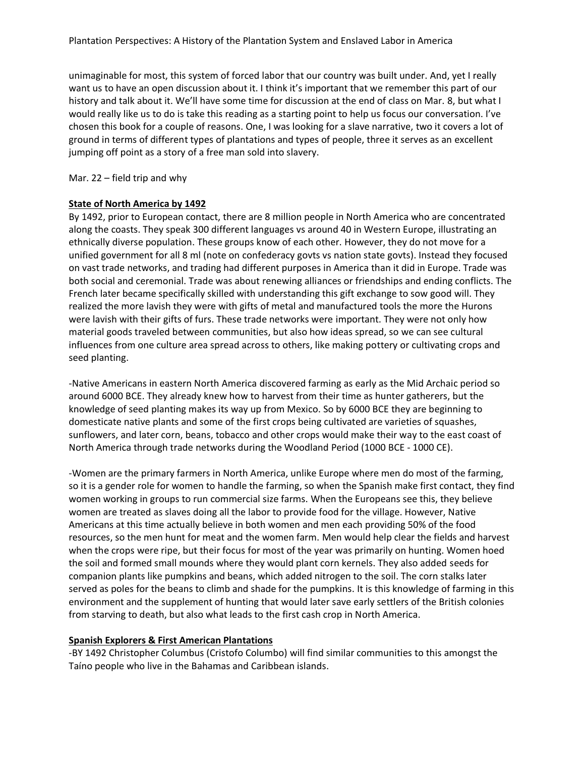unimaginable for most, this system of forced labor that our country was built under. And, yet I really want us to have an open discussion about it. I think it's important that we remember this part of our history and talk about it. We'll have some time for discussion at the end of class on Mar. 8, but what I would really like us to do is take this reading as a starting point to help us focus our conversation. I've chosen this book for a couple of reasons. One, I was looking for a slave narrative, two it covers a lot of ground in terms of different types of plantations and types of people, three it serves as an excellent jumping off point as a story of a free man sold into slavery.

Mar. 22 – field trip and why

# **State of North America by 1492**

By 1492, prior to European contact, there are 8 million people in North America who are concentrated along the coasts. They speak 300 different languages vs around 40 in Western Europe, illustrating an ethnically diverse population. These groups know of each other. However, they do not move for a unified government for all 8 ml (note on confederacy govts vs nation state govts). Instead they focused on vast trade networks, and trading had different purposes in America than it did in Europe. Trade was both social and ceremonial. Trade was about renewing alliances or friendships and ending conflicts. The French later became specifically skilled with understanding this gift exchange to sow good will. They realized the more lavish they were with gifts of metal and manufactured tools the more the Hurons were lavish with their gifts of furs. These trade networks were important. They were not only how material goods traveled between communities, but also how ideas spread, so we can see cultural influences from one culture area spread across to others, like making pottery or cultivating crops and seed planting.

-Native Americans in eastern North America discovered farming as early as the Mid Archaic period so around 6000 BCE. They already knew how to harvest from their time as hunter gatherers, but the knowledge of seed planting makes its way up from Mexico. So by 6000 BCE they are beginning to domesticate native plants and some of the first crops being cultivated are varieties of squashes, sunflowers, and later corn, beans, tobacco and other crops would make their way to the east coast of North America through trade networks during the Woodland Period (1000 BCE - 1000 CE).

-Women are the primary farmers in North America, unlike Europe where men do most of the farming, so it is a gender role for women to handle the farming, so when the Spanish make first contact, they find women working in groups to run commercial size farms. When the Europeans see this, they believe women are treated as slaves doing all the labor to provide food for the village. However, Native Americans at this time actually believe in both women and men each providing 50% of the food resources, so the men hunt for meat and the women farm. Men would help clear the fields and harvest when the crops were ripe, but their focus for most of the year was primarily on hunting. Women hoed the soil and formed small mounds where they would plant corn kernels. They also added seeds for companion plants like pumpkins and beans, which added nitrogen to the soil. The corn stalks later served as poles for the beans to climb and shade for the pumpkins. It is this knowledge of farming in this environment and the supplement of hunting that would later save early settlers of the British colonies from starving to death, but also what leads to the first cash crop in North America.

# **Spanish Explorers & First American Plantations**

-BY 1492 Christopher Columbus (Cristofo Columbo) will find similar communities to this amongst the Taíno people who live in the Bahamas and Caribbean islands.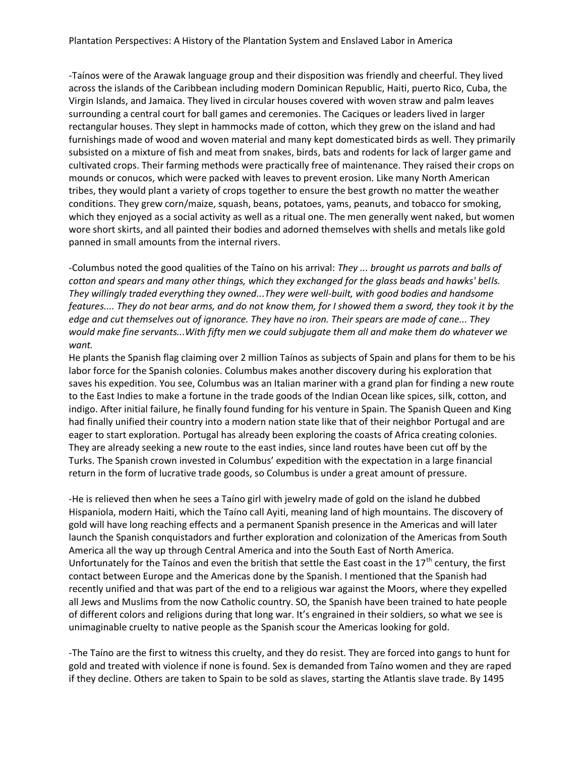-Taínos were of the Arawak language group and their disposition was friendly and cheerful. They lived across the islands of the Caribbean including modern Dominican Republic, Haiti, puerto Rico, Cuba, the Virgin Islands, and Jamaica. They lived in circular houses covered with woven straw and palm leaves surrounding a central court for ball games and ceremonies. The Caciques or leaders lived in larger rectangular houses. They slept in hammocks made of cotton, which they grew on the island and had furnishings made of wood and woven material and many kept domesticated birds as well. They primarily subsisted on a mixture of fish and meat from snakes, birds, bats and rodents for lack of larger game and cultivated crops. Their farming methods were practically free of maintenance. They raised their crops on mounds or conucos, which were packed with leaves to prevent erosion. Like many North American tribes, they would plant a variety of crops together to ensure the best growth no matter the weather conditions. They grew corn/maize, squash, beans, potatoes, yams, peanuts, and tobacco for smoking, which they enjoyed as a social activity as well as a ritual one. The men generally went naked, but women wore short skirts, and all painted their bodies and adorned themselves with shells and metals like gold panned in small amounts from the internal rivers.

-Columbus noted the good qualities of the Taíno on his arrival: *They ... brought us parrots and balls of cotton and spears and many other things, which they exchanged for the glass beads and hawks' bells. They willingly traded everything they owned...They were well-built, with good bodies and handsome features.... They do not bear arms, and do not know them, for I showed them a sword, they took it by the edge and cut themselves out of ignorance. They have no iron. Their spears are made of cane... They would make fine servants...With fifty men we could subjugate them all and make them do whatever we want.* 

He plants the Spanish flag claiming over 2 million Taínos as subjects of Spain and plans for them to be his labor force for the Spanish colonies. Columbus makes another discovery during his exploration that saves his expedition. You see, Columbus was an Italian mariner with a grand plan for finding a new route to the East Indies to make a fortune in the trade goods of the Indian Ocean like spices, silk, cotton, and indigo. After initial failure, he finally found funding for his venture in Spain. The Spanish Queen and King had finally unified their country into a modern nation state like that of their neighbor Portugal and are eager to start exploration. Portugal has already been exploring the coasts of Africa creating colonies. They are already seeking a new route to the east indies, since land routes have been cut off by the Turks. The Spanish crown invested in Columbus' expedition with the expectation in a large financial return in the form of lucrative trade goods, so Columbus is under a great amount of pressure.

-He is relieved then when he sees a Taíno girl with jewelry made of gold on the island he dubbed Hispaniola, modern Haiti, which the Taíno call Ayiti, meaning land of high mountains. The discovery of gold will have long reaching effects and a permanent Spanish presence in the Americas and will later launch the Spanish conquistadors and further exploration and colonization of the Americas from South America all the way up through Central America and into the South East of North America. Unfortunately for the Taínos and even the british that settle the East coast in the  $17<sup>th</sup>$  century, the first contact between Europe and the Americas done by the Spanish. I mentioned that the Spanish had recently unified and that was part of the end to a religious war against the Moors, where they expelled all Jews and Muslims from the now Catholic country. SO, the Spanish have been trained to hate people of different colors and religions during that long war. It's engrained in their soldiers, so what we see is unimaginable cruelty to native people as the Spanish scour the Americas looking for gold.

-The Taíno are the first to witness this cruelty, and they do resist. They are forced into gangs to hunt for gold and treated with violence if none is found. Sex is demanded from Taíno women and they are raped if they decline. Others are taken to Spain to be sold as slaves, starting the Atlantis slave trade. By 1495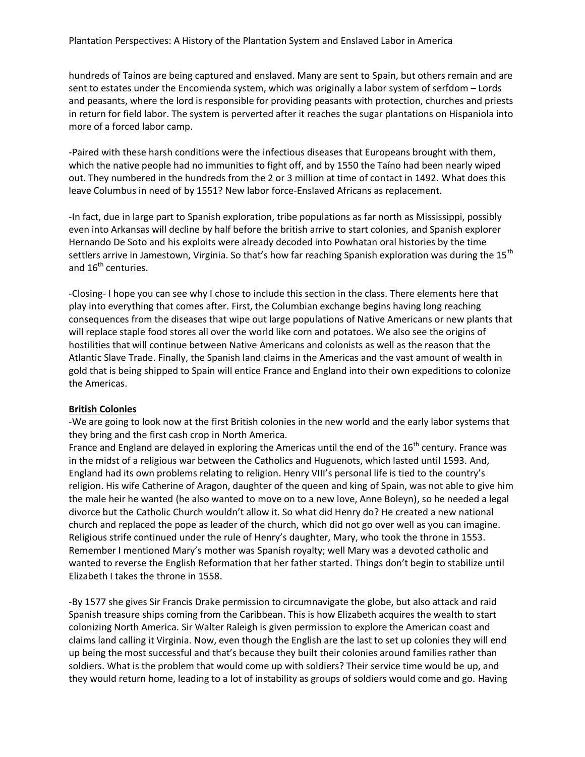hundreds of Taínos are being captured and enslaved. Many are sent to Spain, but others remain and are sent to estates under the Encomienda system, which was originally a labor system of serfdom – Lords and peasants, where the lord is responsible for providing peasants with protection, churches and priests in return for field labor. The system is perverted after it reaches the sugar plantations on Hispaniola into more of a forced labor camp.

-Paired with these harsh conditions were the infectious diseases that Europeans brought with them, which the native people had no immunities to fight off, and by 1550 the Taíno had been nearly wiped out. They numbered in the hundreds from the 2 or 3 million at time of contact in 1492. What does this leave Columbus in need of by 1551? New labor force-Enslaved Africans as replacement.

-In fact, due in large part to Spanish exploration, tribe populations as far north as Mississippi, possibly even into Arkansas will decline by half before the british arrive to start colonies, and Spanish explorer Hernando De Soto and his exploits were already decoded into Powhatan oral histories by the time settlers arrive in Jamestown, Virginia. So that's how far reaching Spanish exploration was during the 15<sup>th</sup> and 16<sup>th</sup> centuries.

-Closing- I hope you can see why I chose to include this section in the class. There elements here that play into everything that comes after. First, the Columbian exchange begins having long reaching consequences from the diseases that wipe out large populations of Native Americans or new plants that will replace staple food stores all over the world like corn and potatoes. We also see the origins of hostilities that will continue between Native Americans and colonists as well as the reason that the Atlantic Slave Trade. Finally, the Spanish land claims in the Americas and the vast amount of wealth in gold that is being shipped to Spain will entice France and England into their own expeditions to colonize the Americas.

# **British Colonies**

-We are going to look now at the first British colonies in the new world and the early labor systems that they bring and the first cash crop in North America.

France and England are delayed in exploring the Americas until the end of the 16<sup>th</sup> century. France was in the midst of a religious war between the Catholics and Huguenots, which lasted until 1593. And, England had its own problems relating to religion. Henry VIII's personal life is tied to the country's religion. His wife Catherine of Aragon, daughter of the queen and king of Spain, was not able to give him the male heir he wanted (he also wanted to move on to a new love, Anne Boleyn), so he needed a legal divorce but the Catholic Church wouldn't allow it. So what did Henry do? He created a new national church and replaced the pope as leader of the church, which did not go over well as you can imagine. Religious strife continued under the rule of Henry's daughter, Mary, who took the throne in 1553. Remember I mentioned Mary's mother was Spanish royalty; well Mary was a devoted catholic and wanted to reverse the English Reformation that her father started. Things don't begin to stabilize until Elizabeth I takes the throne in 1558.

-By 1577 she gives Sir Francis Drake permission to circumnavigate the globe, but also attack and raid Spanish treasure ships coming from the Caribbean. This is how Elizabeth acquires the wealth to start colonizing North America. Sir Walter Raleigh is given permission to explore the American coast and claims land calling it Virginia. Now, even though the English are the last to set up colonies they will end up being the most successful and that's because they built their colonies around families rather than soldiers. What is the problem that would come up with soldiers? Their service time would be up, and they would return home, leading to a lot of instability as groups of soldiers would come and go. Having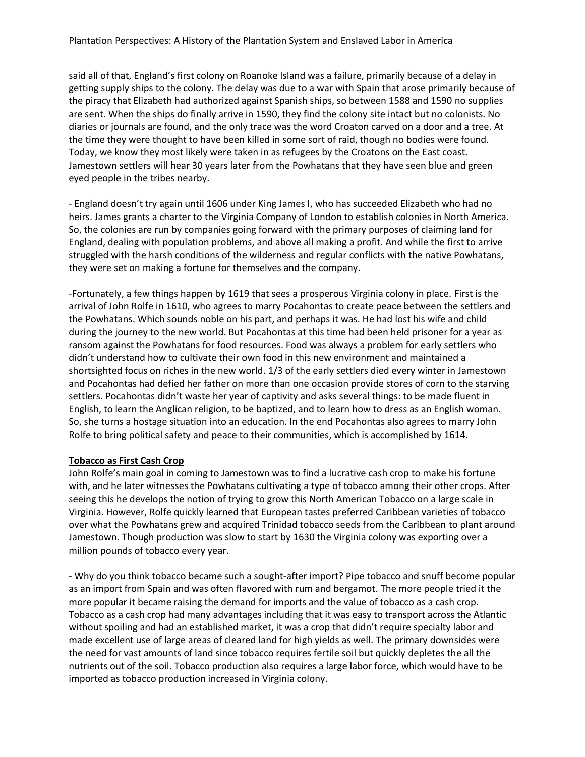said all of that, England's first colony on Roanoke Island was a failure, primarily because of a delay in getting supply ships to the colony. The delay was due to a war with Spain that arose primarily because of the piracy that Elizabeth had authorized against Spanish ships, so between 1588 and 1590 no supplies are sent. When the ships do finally arrive in 1590, they find the colony site intact but no colonists. No diaries or journals are found, and the only trace was the word Croaton carved on a door and a tree. At the time they were thought to have been killed in some sort of raid, though no bodies were found. Today, we know they most likely were taken in as refugees by the Croatons on the East coast. Jamestown settlers will hear 30 years later from the Powhatans that they have seen blue and green eyed people in the tribes nearby.

- England doesn't try again until 1606 under King James I, who has succeeded Elizabeth who had no heirs. James grants a charter to the Virginia Company of London to establish colonies in North America. So, the colonies are run by companies going forward with the primary purposes of claiming land for England, dealing with population problems, and above all making a profit. And while the first to arrive struggled with the harsh conditions of the wilderness and regular conflicts with the native Powhatans, they were set on making a fortune for themselves and the company.

-Fortunately, a few things happen by 1619 that sees a prosperous Virginia colony in place. First is the arrival of John Rolfe in 1610, who agrees to marry Pocahontas to create peace between the settlers and the Powhatans. Which sounds noble on his part, and perhaps it was. He had lost his wife and child during the journey to the new world. But Pocahontas at this time had been held prisoner for a year as ransom against the Powhatans for food resources. Food was always a problem for early settlers who didn't understand how to cultivate their own food in this new environment and maintained a shortsighted focus on riches in the new world. 1/3 of the early settlers died every winter in Jamestown and Pocahontas had defied her father on more than one occasion provide stores of corn to the starving settlers. Pocahontas didn't waste her year of captivity and asks several things: to be made fluent in English, to learn the Anglican religion, to be baptized, and to learn how to dress as an English woman. So, she turns a hostage situation into an education. In the end Pocahontas also agrees to marry John Rolfe to bring political safety and peace to their communities, which is accomplished by 1614.

# **Tobacco as First Cash Crop**

John Rolfe's main goal in coming to Jamestown was to find a lucrative cash crop to make his fortune with, and he later witnesses the Powhatans cultivating a type of tobacco among their other crops. After seeing this he develops the notion of trying to grow this North American Tobacco on a large scale in Virginia. However, Rolfe quickly learned that European tastes preferred Caribbean varieties of tobacco over what the Powhatans grew and acquired Trinidad tobacco seeds from the Caribbean to plant around Jamestown. Though production was slow to start by 1630 the Virginia colony was exporting over a million pounds of tobacco every year.

- Why do you think tobacco became such a sought-after import? Pipe tobacco and snuff become popular as an import from Spain and was often flavored with rum and bergamot. The more people tried it the more popular it became raising the demand for imports and the value of tobacco as a cash crop. Tobacco as a cash crop had many advantages including that it was easy to transport across the Atlantic without spoiling and had an established market, it was a crop that didn't require specialty labor and made excellent use of large areas of cleared land for high yields as well. The primary downsides were the need for vast amounts of land since tobacco requires fertile soil but quickly depletes the all the nutrients out of the soil. Tobacco production also requires a large labor force, which would have to be imported as tobacco production increased in Virginia colony.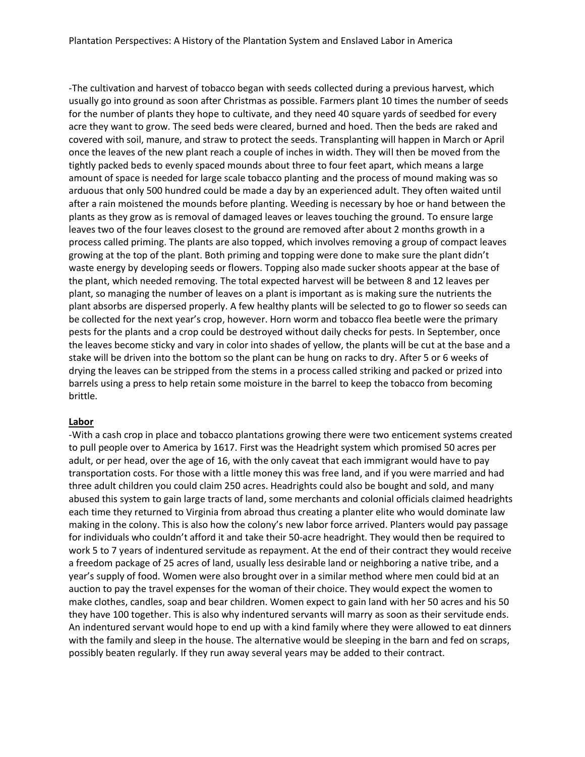-The cultivation and harvest of tobacco began with seeds collected during a previous harvest, which usually go into ground as soon after Christmas as possible. Farmers plant 10 times the number of seeds for the number of plants they hope to cultivate, and they need 40 square yards of seedbed for every acre they want to grow. The seed beds were cleared, burned and hoed. Then the beds are raked and covered with soil, manure, and straw to protect the seeds. Transplanting will happen in March or April once the leaves of the new plant reach a couple of inches in width. They will then be moved from the tightly packed beds to evenly spaced mounds about three to four feet apart, which means a large amount of space is needed for large scale tobacco planting and the process of mound making was so arduous that only 500 hundred could be made a day by an experienced adult. They often waited until after a rain moistened the mounds before planting. Weeding is necessary by hoe or hand between the plants as they grow as is removal of damaged leaves or leaves touching the ground. To ensure large leaves two of the four leaves closest to the ground are removed after about 2 months growth in a process called priming. The plants are also topped, which involves removing a group of compact leaves growing at the top of the plant. Both priming and topping were done to make sure the plant didn't waste energy by developing seeds or flowers. Topping also made sucker shoots appear at the base of the plant, which needed removing. The total expected harvest will be between 8 and 12 leaves per plant, so managing the number of leaves on a plant is important as is making sure the nutrients the plant absorbs are dispersed properly. A few healthy plants will be selected to go to flower so seeds can be collected for the next year's crop, however. Horn worm and tobacco flea beetle were the primary pests for the plants and a crop could be destroyed without daily checks for pests. In September, once the leaves become sticky and vary in color into shades of yellow, the plants will be cut at the base and a stake will be driven into the bottom so the plant can be hung on racks to dry. After 5 or 6 weeks of drying the leaves can be stripped from the stems in a process called striking and packed or prized into barrels using a press to help retain some moisture in the barrel to keep the tobacco from becoming brittle.

#### **Labor**

-With a cash crop in place and tobacco plantations growing there were two enticement systems created to pull people over to America by 1617. First was the Headright system which promised 50 acres per adult, or per head, over the age of 16, with the only caveat that each immigrant would have to pay transportation costs. For those with a little money this was free land, and if you were married and had three adult children you could claim 250 acres. Headrights could also be bought and sold, and many abused this system to gain large tracts of land, some merchants and colonial officials claimed headrights each time they returned to Virginia from abroad thus creating a planter elite who would dominate law making in the colony. This is also how the colony's new labor force arrived. Planters would pay passage for individuals who couldn't afford it and take their 50-acre headright. They would then be required to work 5 to 7 years of indentured servitude as repayment. At the end of their contract they would receive a freedom package of 25 acres of land, usually less desirable land or neighboring a native tribe, and a year's supply of food. Women were also brought over in a similar method where men could bid at an auction to pay the travel expenses for the woman of their choice. They would expect the women to make clothes, candles, soap and bear children. Women expect to gain land with her 50 acres and his 50 they have 100 together. This is also why indentured servants will marry as soon as their servitude ends. An indentured servant would hope to end up with a kind family where they were allowed to eat dinners with the family and sleep in the house. The alternative would be sleeping in the barn and fed on scraps, possibly beaten regularly. If they run away several years may be added to their contract.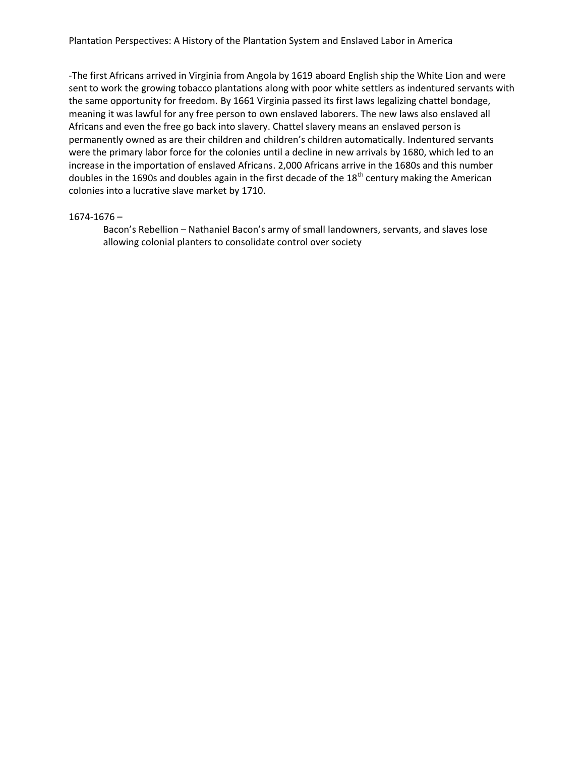-The first Africans arrived in Virginia from Angola by 1619 aboard English ship the White Lion and were sent to work the growing tobacco plantations along with poor white settlers as indentured servants with the same opportunity for freedom. By 1661 Virginia passed its first laws legalizing chattel bondage, meaning it was lawful for any free person to own enslaved laborers. The new laws also enslaved all Africans and even the free go back into slavery. Chattel slavery means an enslaved person is permanently owned as are their children and children's children automatically. Indentured servants were the primary labor force for the colonies until a decline in new arrivals by 1680, which led to an increase in the importation of enslaved Africans. 2,000 Africans arrive in the 1680s and this number doubles in the 1690s and doubles again in the first decade of the  $18<sup>th</sup>$  century making the American colonies into a lucrative slave market by 1710.

#### 1674-1676 –

Bacon's Rebellion – Nathaniel Bacon's army of small landowners, servants, and slaves lose allowing colonial planters to consolidate control over society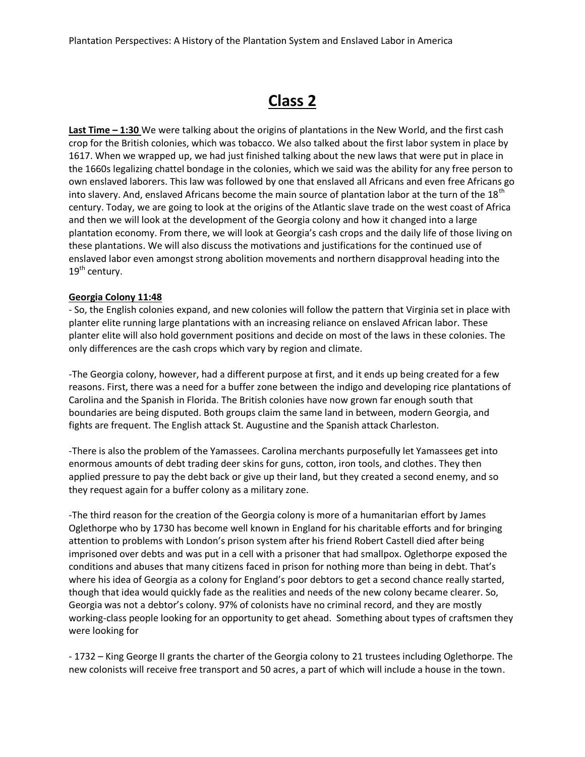# **Class 2**

**Last Time – 1:30** We were talking about the origins of plantations in the New World, and the first cash crop for the British colonies, which was tobacco. We also talked about the first labor system in place by 1617. When we wrapped up, we had just finished talking about the new laws that were put in place in the 1660s legalizing chattel bondage in the colonies, which we said was the ability for any free person to own enslaved laborers. This law was followed by one that enslaved all Africans and even free Africans go into slavery. And, enslaved Africans become the main source of plantation labor at the turn of the 18<sup>th</sup> century. Today, we are going to look at the origins of the Atlantic slave trade on the west coast of Africa and then we will look at the development of the Georgia colony and how it changed into a large plantation economy. From there, we will look at Georgia's cash crops and the daily life of those living on these plantations. We will also discuss the motivations and justifications for the continued use of enslaved labor even amongst strong abolition movements and northern disapproval heading into the  $19<sup>th</sup>$  century.

# **Georgia Colony 11:48**

- So, the English colonies expand, and new colonies will follow the pattern that Virginia set in place with planter elite running large plantations with an increasing reliance on enslaved African labor. These planter elite will also hold government positions and decide on most of the laws in these colonies. The only differences are the cash crops which vary by region and climate.

-The Georgia colony, however, had a different purpose at first, and it ends up being created for a few reasons. First, there was a need for a buffer zone between the indigo and developing rice plantations of Carolina and the Spanish in Florida. The British colonies have now grown far enough south that boundaries are being disputed. Both groups claim the same land in between, modern Georgia, and fights are frequent. The English attack St. Augustine and the Spanish attack Charleston.

-There is also the problem of the Yamassees. Carolina merchants purposefully let Yamassees get into enormous amounts of debt trading deer skins for guns, cotton, iron tools, and clothes. They then applied pressure to pay the debt back or give up their land, but they created a second enemy, and so they request again for a buffer colony as a military zone.

-The third reason for the creation of the Georgia colony is more of a humanitarian effort by James Oglethorpe who by 1730 has become well known in England for his charitable efforts and for bringing attention to problems with London's prison system after his friend Robert Castell died after being imprisoned over debts and was put in a cell with a prisoner that had smallpox. Oglethorpe exposed the conditions and abuses that many citizens faced in prison for nothing more than being in debt. That's where his idea of Georgia as a colony for England's poor debtors to get a second chance really started, though that idea would quickly fade as the realities and needs of the new colony became clearer. So, Georgia was not a debtor's colony. 97% of colonists have no criminal record, and they are mostly working-class people looking for an opportunity to get ahead. Something about types of craftsmen they were looking for

- 1732 – King George II grants the charter of the Georgia colony to 21 trustees including Oglethorpe. The new colonists will receive free transport and 50 acres, a part of which will include a house in the town.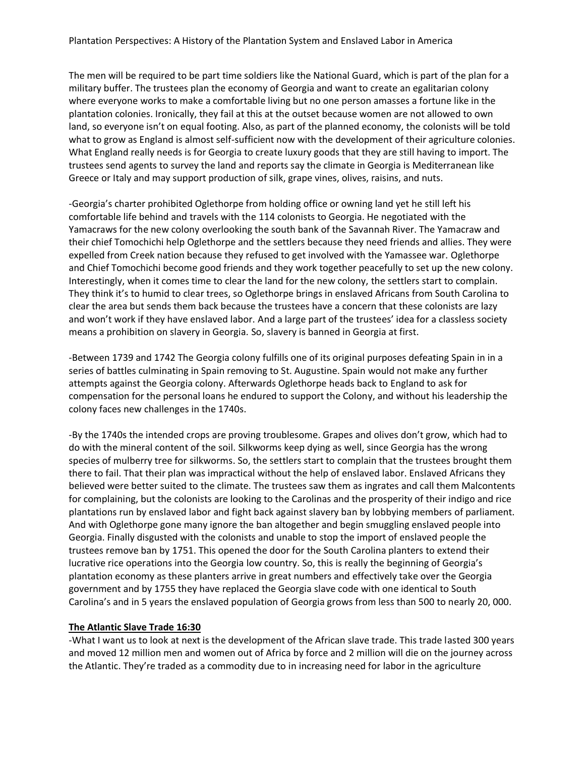The men will be required to be part time soldiers like the National Guard, which is part of the plan for a military buffer. The trustees plan the economy of Georgia and want to create an egalitarian colony where everyone works to make a comfortable living but no one person amasses a fortune like in the plantation colonies. Ironically, they fail at this at the outset because women are not allowed to own land, so everyone isn't on equal footing. Also, as part of the planned economy, the colonists will be told what to grow as England is almost self-sufficient now with the development of their agriculture colonies. What England really needs is for Georgia to create luxury goods that they are still having to import. The trustees send agents to survey the land and reports say the climate in Georgia is Mediterranean like Greece or Italy and may support production of silk, grape vines, olives, raisins, and nuts.

-Georgia's charter prohibited Oglethorpe from holding office or owning land yet he still left his comfortable life behind and travels with the 114 colonists to Georgia. He negotiated with the Yamacraws for the new colony overlooking the south bank of the Savannah River. The Yamacraw and their chief Tomochichi help Oglethorpe and the settlers because they need friends and allies. They were expelled from Creek nation because they refused to get involved with the Yamassee war. Oglethorpe and Chief Tomochichi become good friends and they work together peacefully to set up the new colony. Interestingly, when it comes time to clear the land for the new colony, the settlers start to complain. They think it's to humid to clear trees, so Oglethorpe brings in enslaved Africans from South Carolina to clear the area but sends them back because the trustees have a concern that these colonists are lazy and won't work if they have enslaved labor. And a large part of the trustees' idea for a classless society means a prohibition on slavery in Georgia. So, slavery is banned in Georgia at first.

-Between 1739 and 1742 The Georgia colony fulfills one of its original purposes defeating Spain in in a series of battles culminating in Spain removing to St. Augustine. Spain would not make any further attempts against the Georgia colony. Afterwards Oglethorpe heads back to England to ask for compensation for the personal loans he endured to support the Colony, and without his leadership the colony faces new challenges in the 1740s.

-By the 1740s the intended crops are proving troublesome. Grapes and olives don't grow, which had to do with the mineral content of the soil. Silkworms keep dying as well, since Georgia has the wrong species of mulberry tree for silkworms. So, the settlers start to complain that the trustees brought them there to fail. That their plan was impractical without the help of enslaved labor. Enslaved Africans they believed were better suited to the climate. The trustees saw them as ingrates and call them Malcontents for complaining, but the colonists are looking to the Carolinas and the prosperity of their indigo and rice plantations run by enslaved labor and fight back against slavery ban by lobbying members of parliament. And with Oglethorpe gone many ignore the ban altogether and begin smuggling enslaved people into Georgia. Finally disgusted with the colonists and unable to stop the import of enslaved people the trustees remove ban by 1751. This opened the door for the South Carolina planters to extend their lucrative rice operations into the Georgia low country. So, this is really the beginning of Georgia's plantation economy as these planters arrive in great numbers and effectively take over the Georgia government and by 1755 they have replaced the Georgia slave code with one identical to South Carolina's and in 5 years the enslaved population of Georgia grows from less than 500 to nearly 20, 000.

# **The Atlantic Slave Trade 16:30**

-What I want us to look at next is the development of the African slave trade. This trade lasted 300 years and moved 12 million men and women out of Africa by force and 2 million will die on the journey across the Atlantic. They're traded as a commodity due to in increasing need for labor in the agriculture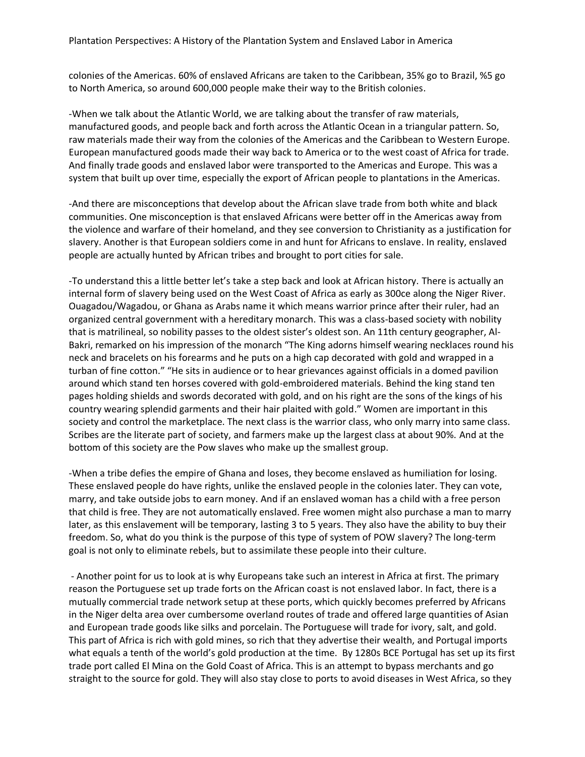colonies of the Americas. 60% of enslaved Africans are taken to the Caribbean, 35% go to Brazil, %5 go to North America, so around 600,000 people make their way to the British colonies.

-When we talk about the Atlantic World, we are talking about the transfer of raw materials, manufactured goods, and people back and forth across the Atlantic Ocean in a triangular pattern. So, raw materials made their way from the colonies of the Americas and the Caribbean to Western Europe. European manufactured goods made their way back to America or to the west coast of Africa for trade. And finally trade goods and enslaved labor were transported to the Americas and Europe. This was a system that built up over time, especially the export of African people to plantations in the Americas.

-And there are misconceptions that develop about the African slave trade from both white and black communities. One misconception is that enslaved Africans were better off in the Americas away from the violence and warfare of their homeland, and they see conversion to Christianity as a justification for slavery. Another is that European soldiers come in and hunt for Africans to enslave. In reality, enslaved people are actually hunted by African tribes and brought to port cities for sale.

-To understand this a little better let's take a step back and look at African history. There is actually an internal form of slavery being used on the West Coast of Africa as early as 300ce along the Niger River. Ouagadou/Wagadou, or Ghana as Arabs name it which means warrior prince after their ruler, had an organized central government with a hereditary monarch. This was a class-based society with nobility that is matrilineal, so nobility passes to the oldest sister's oldest son. An 11th century geographer, Al-Bakri, remarked on his impression of the monarch "The King adorns himself wearing necklaces round his neck and bracelets on his forearms and he puts on a high cap decorated with gold and wrapped in a turban of fine cotton." "He sits in audience or to hear grievances against officials in a domed pavilion around which stand ten horses covered with gold-embroidered materials. Behind the king stand ten pages holding shields and swords decorated with gold, and on his right are the sons of the kings of his country wearing splendid garments and their hair plaited with gold." Women are important in this society and control the marketplace. The next class is the warrior class, who only marry into same class. Scribes are the literate part of society, and farmers make up the largest class at about 90%. And at the bottom of this society are the Pow slaves who make up the smallest group.

-When a tribe defies the empire of Ghana and loses, they become enslaved as humiliation for losing. These enslaved people do have rights, unlike the enslaved people in the colonies later. They can vote, marry, and take outside jobs to earn money. And if an enslaved woman has a child with a free person that child is free. They are not automatically enslaved. Free women might also purchase a man to marry later, as this enslavement will be temporary, lasting 3 to 5 years. They also have the ability to buy their freedom. So, what do you think is the purpose of this type of system of POW slavery? The long-term goal is not only to eliminate rebels, but to assimilate these people into their culture.

- Another point for us to look at is why Europeans take such an interest in Africa at first. The primary reason the Portuguese set up trade forts on the African coast is not enslaved labor. In fact, there is a mutually commercial trade network setup at these ports, which quickly becomes preferred by Africans in the Niger delta area over cumbersome overland routes of trade and offered large quantities of Asian and European trade goods like silks and porcelain. The Portuguese will trade for ivory, salt, and gold. This part of Africa is rich with gold mines, so rich that they advertise their wealth, and Portugal imports what equals a tenth of the world's gold production at the time. By 1280s BCE Portugal has set up its first trade port called El Mina on the Gold Coast of Africa. This is an attempt to bypass merchants and go straight to the source for gold. They will also stay close to ports to avoid diseases in West Africa, so they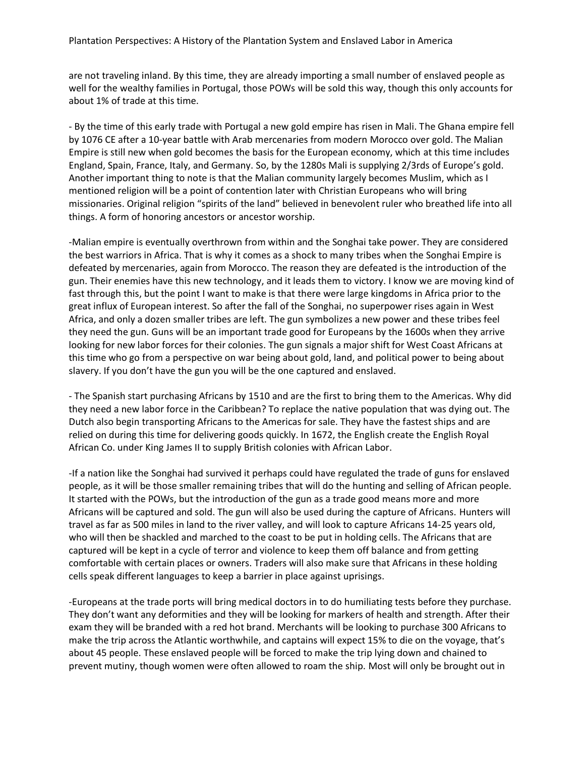are not traveling inland. By this time, they are already importing a small number of enslaved people as well for the wealthy families in Portugal, those POWs will be sold this way, though this only accounts for about 1% of trade at this time.

- By the time of this early trade with Portugal a new gold empire has risen in Mali. The Ghana empire fell by 1076 CE after a 10-year battle with Arab mercenaries from modern Morocco over gold. The Malian Empire is still new when gold becomes the basis for the European economy, which at this time includes England, Spain, France, Italy, and Germany. So, by the 1280s Mali is supplying 2/3rds of Europe's gold. Another important thing to note is that the Malian community largely becomes Muslim, which as I mentioned religion will be a point of contention later with Christian Europeans who will bring missionaries. Original religion "spirits of the land" believed in benevolent ruler who breathed life into all things. A form of honoring ancestors or ancestor worship.

-Malian empire is eventually overthrown from within and the Songhai take power. They are considered the best warriors in Africa. That is why it comes as a shock to many tribes when the Songhai Empire is defeated by mercenaries, again from Morocco. The reason they are defeated is the introduction of the gun. Their enemies have this new technology, and it leads them to victory. I know we are moving kind of fast through this, but the point I want to make is that there were large kingdoms in Africa prior to the great influx of European interest. So after the fall of the Songhai, no superpower rises again in West Africa, and only a dozen smaller tribes are left. The gun symbolizes a new power and these tribes feel they need the gun. Guns will be an important trade good for Europeans by the 1600s when they arrive looking for new labor forces for their colonies. The gun signals a major shift for West Coast Africans at this time who go from a perspective on war being about gold, land, and political power to being about slavery. If you don't have the gun you will be the one captured and enslaved.

- The Spanish start purchasing Africans by 1510 and are the first to bring them to the Americas. Why did they need a new labor force in the Caribbean? To replace the native population that was dying out. The Dutch also begin transporting Africans to the Americas for sale. They have the fastest ships and are relied on during this time for delivering goods quickly. In 1672, the English create the English Royal African Co. under King James II to supply British colonies with African Labor.

-If a nation like the Songhai had survived it perhaps could have regulated the trade of guns for enslaved people, as it will be those smaller remaining tribes that will do the hunting and selling of African people. It started with the POWs, but the introduction of the gun as a trade good means more and more Africans will be captured and sold. The gun will also be used during the capture of Africans. Hunters will travel as far as 500 miles in land to the river valley, and will look to capture Africans 14-25 years old, who will then be shackled and marched to the coast to be put in holding cells. The Africans that are captured will be kept in a cycle of terror and violence to keep them off balance and from getting comfortable with certain places or owners. Traders will also make sure that Africans in these holding cells speak different languages to keep a barrier in place against uprisings.

-Europeans at the trade ports will bring medical doctors in to do humiliating tests before they purchase. They don't want any deformities and they will be looking for markers of health and strength. After their exam they will be branded with a red hot brand. Merchants will be looking to purchase 300 Africans to make the trip across the Atlantic worthwhile, and captains will expect 15% to die on the voyage, that's about 45 people. These enslaved people will be forced to make the trip lying down and chained to prevent mutiny, though women were often allowed to roam the ship. Most will only be brought out in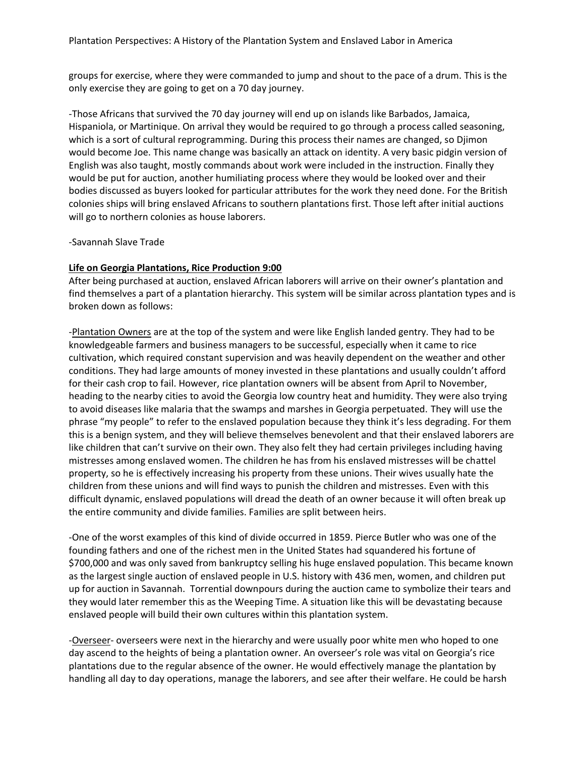groups for exercise, where they were commanded to jump and shout to the pace of a drum. This is the only exercise they are going to get on a 70 day journey.

-Those Africans that survived the 70 day journey will end up on islands like Barbados, Jamaica, Hispaniola, or Martinique. On arrival they would be required to go through a process called seasoning, which is a sort of cultural reprogramming. During this process their names are changed, so Djimon would become Joe. This name change was basically an attack on identity. A very basic pidgin version of English was also taught, mostly commands about work were included in the instruction. Finally they would be put for auction, another humiliating process where they would be looked over and their bodies discussed as buyers looked for particular attributes for the work they need done. For the British colonies ships will bring enslaved Africans to southern plantations first. Those left after initial auctions will go to northern colonies as house laborers.

#### -Savannah Slave Trade

# **Life on Georgia Plantations, Rice Production 9:00**

After being purchased at auction, enslaved African laborers will arrive on their owner's plantation and find themselves a part of a plantation hierarchy. This system will be similar across plantation types and is broken down as follows:

-Plantation Owners are at the top of the system and were like English landed gentry. They had to be knowledgeable farmers and business managers to be successful, especially when it came to rice cultivation, which required constant supervision and was heavily dependent on the weather and other conditions. They had large amounts of money invested in these plantations and usually couldn't afford for their cash crop to fail. However, rice plantation owners will be absent from April to November, heading to the nearby cities to avoid the Georgia low country heat and humidity. They were also trying to avoid diseases like malaria that the swamps and marshes in Georgia perpetuated. They will use the phrase "my people" to refer to the enslaved population because they think it's less degrading. For them this is a benign system, and they will believe themselves benevolent and that their enslaved laborers are like children that can't survive on their own. They also felt they had certain privileges including having mistresses among enslaved women. The children he has from his enslaved mistresses will be chattel property, so he is effectively increasing his property from these unions. Their wives usually hate the children from these unions and will find ways to punish the children and mistresses. Even with this difficult dynamic, enslaved populations will dread the death of an owner because it will often break up the entire community and divide families. Families are split between heirs.

-One of the worst examples of this kind of divide occurred in 1859. Pierce Butler who was one of the founding fathers and one of the richest men in the United States had squandered his fortune of \$700,000 and was only saved from bankruptcy selling his huge enslaved population. This became known as the largest single auction of enslaved people in U.S. history with 436 men, women, and children put up for auction in Savannah. Torrential downpours during the auction came to symbolize their tears and they would later remember this as the Weeping Time. A situation like this will be devastating because enslaved people will build their own cultures within this plantation system.

-Overseer- overseers were next in the hierarchy and were usually poor white men who hoped to one day ascend to the heights of being a plantation owner. An overseer's role was vital on Georgia's rice plantations due to the regular absence of the owner. He would effectively manage the plantation by handling all day to day operations, manage the laborers, and see after their welfare. He could be harsh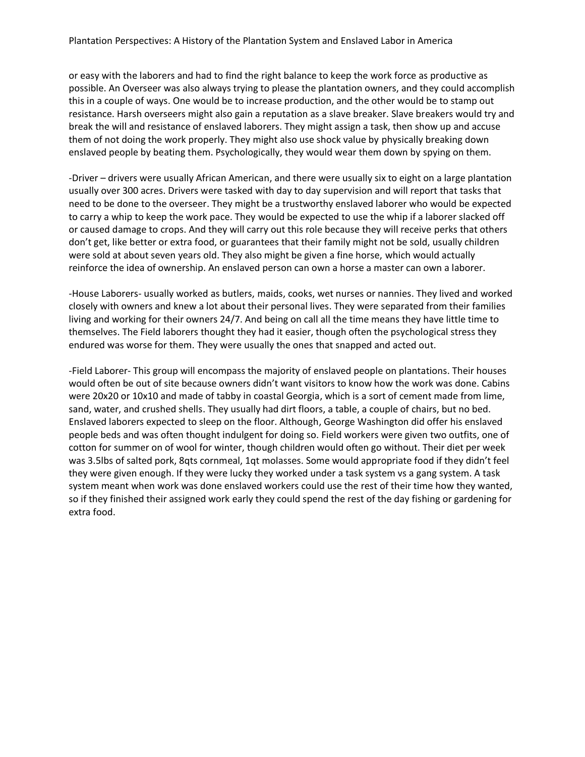or easy with the laborers and had to find the right balance to keep the work force as productive as possible. An Overseer was also always trying to please the plantation owners, and they could accomplish this in a couple of ways. One would be to increase production, and the other would be to stamp out resistance. Harsh overseers might also gain a reputation as a slave breaker. Slave breakers would try and break the will and resistance of enslaved laborers. They might assign a task, then show up and accuse them of not doing the work properly. They might also use shock value by physically breaking down enslaved people by beating them. Psychologically, they would wear them down by spying on them.

-Driver – drivers were usually African American, and there were usually six to eight on a large plantation usually over 300 acres. Drivers were tasked with day to day supervision and will report that tasks that need to be done to the overseer. They might be a trustworthy enslaved laborer who would be expected to carry a whip to keep the work pace. They would be expected to use the whip if a laborer slacked off or caused damage to crops. And they will carry out this role because they will receive perks that others don't get, like better or extra food, or guarantees that their family might not be sold, usually children were sold at about seven years old. They also might be given a fine horse, which would actually reinforce the idea of ownership. An enslaved person can own a horse a master can own a laborer.

-House Laborers- usually worked as butlers, maids, cooks, wet nurses or nannies. They lived and worked closely with owners and knew a lot about their personal lives. They were separated from their families living and working for their owners 24/7. And being on call all the time means they have little time to themselves. The Field laborers thought they had it easier, though often the psychological stress they endured was worse for them. They were usually the ones that snapped and acted out.

-Field Laborer- This group will encompass the majority of enslaved people on plantations. Their houses would often be out of site because owners didn't want visitors to know how the work was done. Cabins were 20x20 or 10x10 and made of tabby in coastal Georgia, which is a sort of cement made from lime, sand, water, and crushed shells. They usually had dirt floors, a table, a couple of chairs, but no bed. Enslaved laborers expected to sleep on the floor. Although, George Washington did offer his enslaved people beds and was often thought indulgent for doing so. Field workers were given two outfits, one of cotton for summer on of wool for winter, though children would often go without. Their diet per week was 3.5lbs of salted pork, 8qts cornmeal, 1qt molasses. Some would appropriate food if they didn't feel they were given enough. If they were lucky they worked under a task system vs a gang system. A task system meant when work was done enslaved workers could use the rest of their time how they wanted, so if they finished their assigned work early they could spend the rest of the day fishing or gardening for extra food.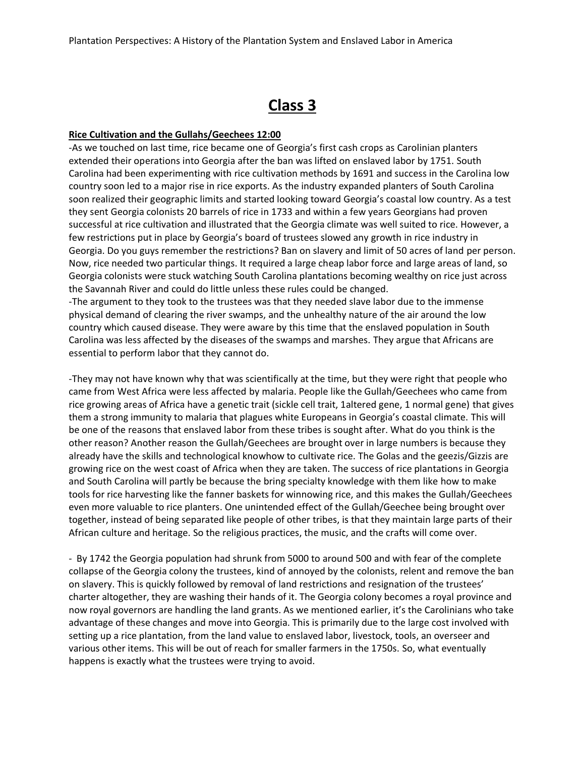# **Class 3**

#### **Rice Cultivation and the Gullahs/Geechees 12:00**

-As we touched on last time, rice became one of Georgia's first cash crops as Carolinian planters extended their operations into Georgia after the ban was lifted on enslaved labor by 1751. South Carolina had been experimenting with rice cultivation methods by 1691 and success in the Carolina low country soon led to a major rise in rice exports. As the industry expanded planters of South Carolina soon realized their geographic limits and started looking toward Georgia's coastal low country. As a test they sent Georgia colonists 20 barrels of rice in 1733 and within a few years Georgians had proven successful at rice cultivation and illustrated that the Georgia climate was well suited to rice. However, a few restrictions put in place by Georgia's board of trustees slowed any growth in rice industry in Georgia. Do you guys remember the restrictions? Ban on slavery and limit of 50 acres of land per person. Now, rice needed two particular things. It required a large cheap labor force and large areas of land, so Georgia colonists were stuck watching South Carolina plantations becoming wealthy on rice just across the Savannah River and could do little unless these rules could be changed.

-The argument to they took to the trustees was that they needed slave labor due to the immense physical demand of clearing the river swamps, and the unhealthy nature of the air around the low country which caused disease. They were aware by this time that the enslaved population in South Carolina was less affected by the diseases of the swamps and marshes. They argue that Africans are essential to perform labor that they cannot do.

-They may not have known why that was scientifically at the time, but they were right that people who came from West Africa were less affected by malaria. People like the Gullah/Geechees who came from rice growing areas of Africa have a genetic trait (sickle cell trait, 1altered gene, 1 normal gene) that gives them a strong immunity to malaria that plagues white Europeans in Georgia's coastal climate. This will be one of the reasons that enslaved labor from these tribes is sought after. What do you think is the other reason? Another reason the Gullah/Geechees are brought over in large numbers is because they already have the skills and technological knowhow to cultivate rice. The Golas and the geezis/Gizzis are growing rice on the west coast of Africa when they are taken. The success of rice plantations in Georgia and South Carolina will partly be because the bring specialty knowledge with them like how to make tools for rice harvesting like the fanner baskets for winnowing rice, and this makes the Gullah/Geechees even more valuable to rice planters. One unintended effect of the Gullah/Geechee being brought over together, instead of being separated like people of other tribes, is that they maintain large parts of their African culture and heritage. So the religious practices, the music, and the crafts will come over.

- By 1742 the Georgia population had shrunk from 5000 to around 500 and with fear of the complete collapse of the Georgia colony the trustees, kind of annoyed by the colonists, relent and remove the ban on slavery. This is quickly followed by removal of land restrictions and resignation of the trustees' charter altogether, they are washing their hands of it. The Georgia colony becomes a royal province and now royal governors are handling the land grants. As we mentioned earlier, it's the Carolinians who take advantage of these changes and move into Georgia. This is primarily due to the large cost involved with setting up a rice plantation, from the land value to enslaved labor, livestock, tools, an overseer and various other items. This will be out of reach for smaller farmers in the 1750s. So, what eventually happens is exactly what the trustees were trying to avoid.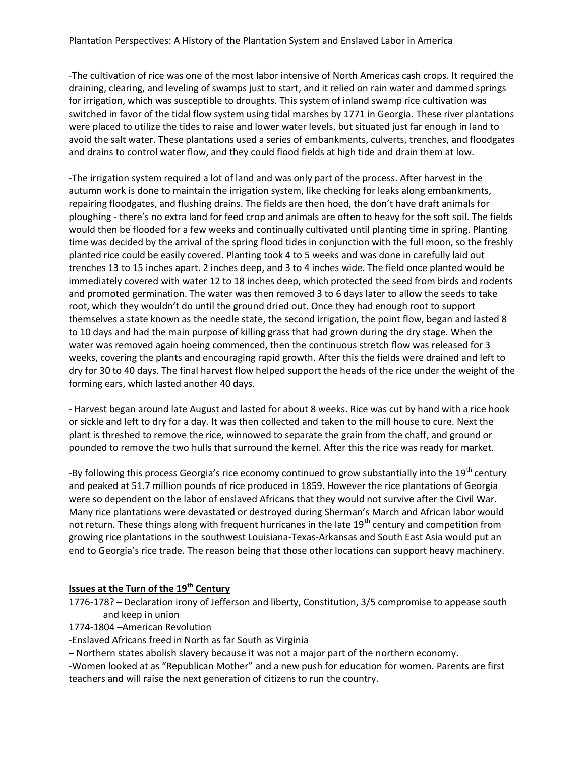-The cultivation of rice was one of the most labor intensive of North Americas cash crops. It required the draining, clearing, and leveling of swamps just to start, and it relied on rain water and dammed springs for irrigation, which was susceptible to droughts. This system of inland swamp rice cultivation was switched in favor of the tidal flow system using tidal marshes by 1771 in Georgia. These river plantations were placed to utilize the tides to raise and lower water levels, but situated just far enough in land to avoid the salt water. These plantations used a series of embankments, culverts, trenches, and floodgates and drains to control water flow, and they could flood fields at high tide and drain them at low.

-The irrigation system required a lot of land and was only part of the process. After harvest in the autumn work is done to maintain the irrigation system, like checking for leaks along embankments, repairing floodgates, and flushing drains. The fields are then hoed, the don't have draft animals for ploughing - there's no extra land for feed crop and animals are often to heavy for the soft soil. The fields would then be flooded for a few weeks and continually cultivated until planting time in spring. Planting time was decided by the arrival of the spring flood tides in conjunction with the full moon, so the freshly planted rice could be easily covered. Planting took 4 to 5 weeks and was done in carefully laid out trenches 13 to 15 inches apart. 2 inches deep, and 3 to 4 inches wide. The field once planted would be immediately covered with water 12 to 18 inches deep, which protected the seed from birds and rodents and promoted germination. The water was then removed 3 to 6 days later to allow the seeds to take root, which they wouldn't do until the ground dried out. Once they had enough root to support themselves a state known as the needle state, the second irrigation, the point flow, began and lasted 8 to 10 days and had the main purpose of killing grass that had grown during the dry stage. When the water was removed again hoeing commenced, then the continuous stretch flow was released for 3 weeks, covering the plants and encouraging rapid growth. After this the fields were drained and left to dry for 30 to 40 days. The final harvest flow helped support the heads of the rice under the weight of the forming ears, which lasted another 40 days.

- Harvest began around late August and lasted for about 8 weeks. Rice was cut by hand with a rice hook or sickle and left to dry for a day. It was then collected and taken to the mill house to cure. Next the plant is threshed to remove the rice, winnowed to separate the grain from the chaff, and ground or pounded to remove the two hulls that surround the kernel. After this the rice was ready for market.

-By following this process Georgia's rice economy continued to grow substantially into the 19<sup>th</sup> century and peaked at 51.7 million pounds of rice produced in 1859. However the rice plantations of Georgia were so dependent on the labor of enslaved Africans that they would not survive after the Civil War. Many rice plantations were devastated or destroyed during Sherman's March and African labor would not return. These things along with frequent hurricanes in the late 19<sup>th</sup> century and competition from growing rice plantations in the southwest Louisiana-Texas-Arkansas and South East Asia would put an end to Georgia's rice trade. The reason being that those other locations can support heavy machinery.

# **Issues at the Turn of the 19th Century**

1776-178? – Declaration irony of Jefferson and liberty, Constitution, 3/5 compromise to appease south and keep in union

1774-1804 –American Revolution

-Enslaved Africans freed in North as far South as Virginia

– Northern states abolish slavery because it was not a major part of the northern economy.

-Women looked at as "Republican Mother" and a new push for education for women. Parents are first teachers and will raise the next generation of citizens to run the country.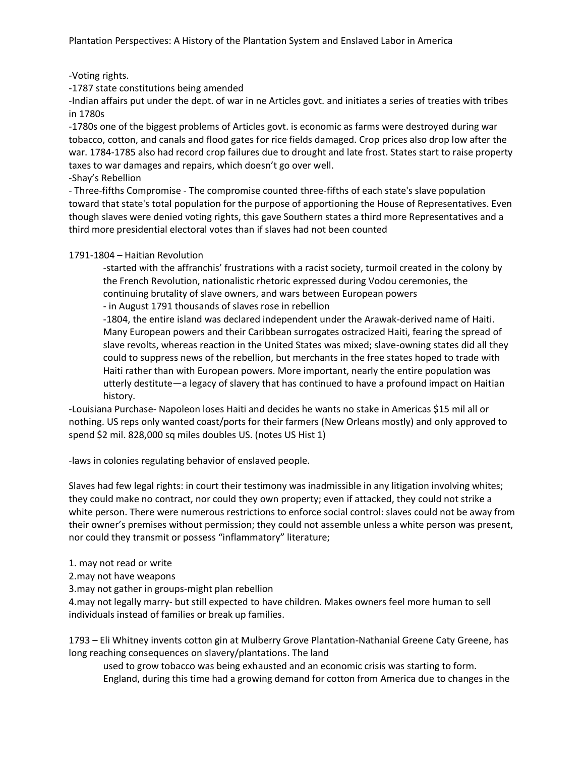# -Voting rights.

-1787 state constitutions being amended

-Indian affairs put under the dept. of war in ne Articles govt. and initiates a series of treaties with tribes in 1780s

-1780s one of the biggest problems of Articles govt. is economic as farms were destroyed during war tobacco, cotton, and canals and flood gates for rice fields damaged. Crop prices also drop low after the war. 1784-1785 also had record crop failures due to drought and late frost. States start to raise property taxes to war damages and repairs, which doesn't go over well.

-Shay's Rebellion

- Three-fifths Compromise - The compromise counted three-fifths of each state's slave population toward that state's total population for the purpose of apportioning the House of Representatives. Even though slaves were denied voting rights, this gave Southern states a third more Representatives and a third more presidential electoral votes than if slaves had not been counted

# 1791-1804 – Haitian Revolution

-started with the affranchis' frustrations with a racist society, turmoil created in the colony by the French Revolution, nationalistic rhetoric expressed during Vodou ceremonies, the continuing brutality of slave owners, and wars between European powers

- in August 1791 thousands of slaves rose in rebellion

-1804, the entire island was declared independent under the Arawak-derived name of Haiti. Many European powers and their Caribbean surrogates ostracized Haiti, fearing the spread of slave revolts, whereas reaction in the United States was mixed; slave-owning states did all they could to suppress news of the rebellion, but merchants in the free states hoped to trade with Haiti rather than with European powers. More important, nearly the entire population was utterly destitute—a legacy of slavery that has continued to have a profound impact on Haitian history.

-Louisiana Purchase- Napoleon loses Haiti and decides he wants no stake in Americas \$15 mil all or nothing. US reps only wanted coast/ports for their farmers (New Orleans mostly) and only approved to spend \$2 mil. 828,000 sq miles doubles US. (notes US Hist 1)

-laws in colonies regulating behavior of enslaved people.

Slaves had few legal rights: in court their testimony was inadmissible in any litigation involving whites; they could make no contract, nor could they own property; even if attacked, they could not strike a white person. There were numerous restrictions to enforce social control: slaves could not be away from their owner's premises without permission; they could not assemble unless a white person was present, nor could they transmit or possess "inflammatory" literature;

1. may not read or write

2.may not have weapons

3.may not gather in groups-might plan rebellion

4.may not legally marry- but still expected to have children. Makes owners feel more human to sell individuals instead of families or break up families.

1793 – Eli Whitney invents cotton gin at Mulberry Grove Plantation-Nathanial Greene Caty Greene, has long reaching consequences on slavery/plantations. The land

used to grow tobacco was being exhausted and an economic crisis was starting to form. England, during this time had a growing demand for cotton from America due to changes in the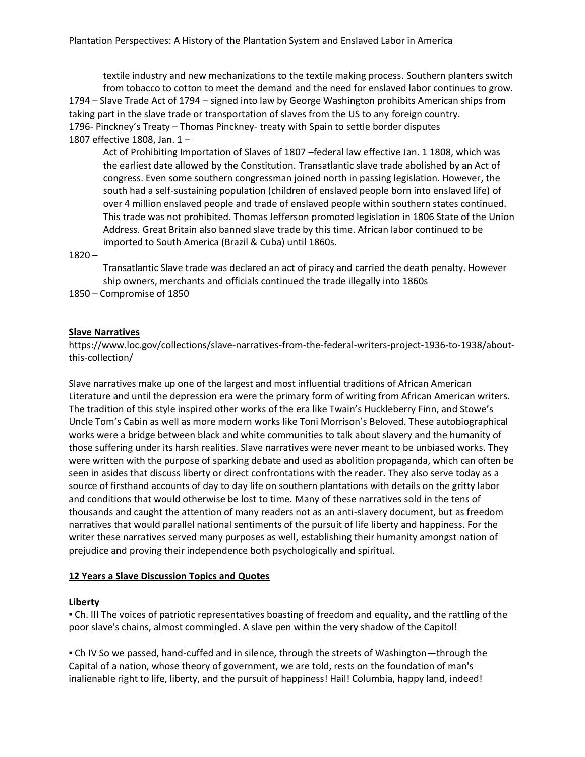textile industry and new mechanizations to the textile making process. Southern planters switch from tobacco to cotton to meet the demand and the need for enslaved labor continues to grow. 1794 – Slave Trade Act of 1794 – signed into law by George Washington prohibits American ships from taking part in the slave trade or transportation of slaves from the US to any foreign country. 1796- Pinckney's Treaty – Thomas Pinckney- treaty with Spain to settle border disputes 1807 effective 1808, Jan. 1 –

Act of Prohibiting Importation of Slaves of 1807 –federal law effective Jan. 1 1808, which was the earliest date allowed by the Constitution. Transatlantic slave trade abolished by an Act of congress. Even some southern congressman joined north in passing legislation. However, the south had a self-sustaining population (children of enslaved people born into enslaved life) of over 4 million enslaved people and trade of enslaved people within southern states continued. This trade was not prohibited. Thomas Jefferson promoted legislation in 1806 State of the Union Address. Great Britain also banned slave trade by this time. African labor continued to be imported to South America (Brazil & Cuba) until 1860s.

#### $1820 -$

Transatlantic Slave trade was declared an act of piracy and carried the death penalty. However ship owners, merchants and officials continued the trade illegally into 1860s

1850 – Compromise of 1850

#### **Slave Narratives**

https://www.loc.gov/collections/slave-narratives-from-the-federal-writers-project-1936-to-1938/aboutthis-collection/

Slave narratives make up one of the largest and most influential traditions of African American Literature and until the depression era were the primary form of writing from African American writers. The tradition of this style inspired other works of the era like Twain's Huckleberry Finn, and Stowe's Uncle Tom's Cabin as well as more modern works like Toni Morrison's Beloved. These autobiographical works were a bridge between black and white communities to talk about slavery and the humanity of those suffering under its harsh realities. Slave narratives were never meant to be unbiased works. They were written with the purpose of sparking debate and used as abolition propaganda, which can often be seen in asides that discuss liberty or direct confrontations with the reader. They also serve today as a source of firsthand accounts of day to day life on southern plantations with details on the gritty labor and conditions that would otherwise be lost to time. Many of these narratives sold in the tens of thousands and caught the attention of many readers not as an anti-slavery document, but as freedom narratives that would parallel national sentiments of the pursuit of life liberty and happiness. For the writer these narratives served many purposes as well, establishing their humanity amongst nation of prejudice and proving their independence both psychologically and spiritual.

#### **12 Years a Slave Discussion Topics and Quotes**

#### **Liberty**

▪ Ch. III The voices of patriotic representatives boasting of freedom and equality, and the rattling of the poor slave's chains, almost commingled. A slave pen within the very shadow of the Capitol!

▪ Ch IV So we passed, hand-cuffed and in silence, through the streets of Washington—through the Capital of a nation, whose theory of government, we are told, rests on the foundation of man's inalienable right to life, liberty, and the pursuit of happiness! Hail! Columbia, happy land, indeed!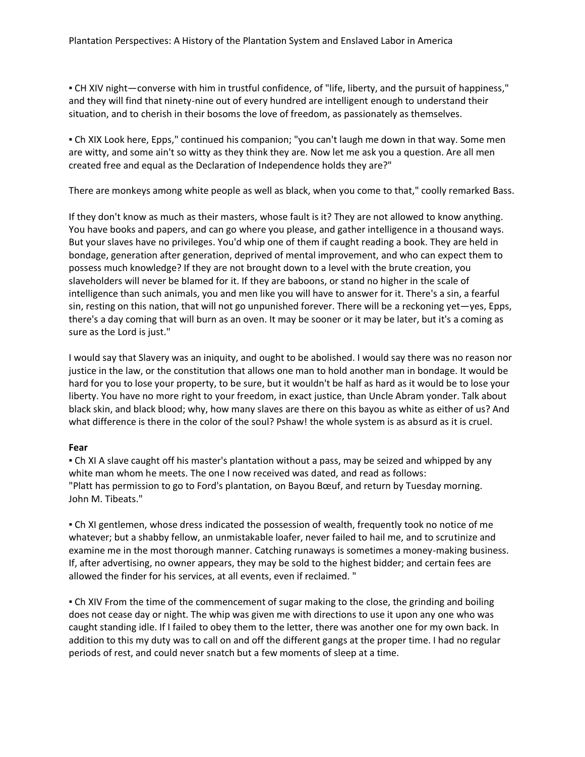▪ CH XIV night—converse with him in trustful confidence, of "life, liberty, and the pursuit of happiness," and they will find that ninety-nine out of every hundred are intelligent enough to understand their situation, and to cherish in their bosoms the love of freedom, as passionately as themselves.

▪ Ch XIX Look here, Epps," continued his companion; "you can't laugh me down in that way. Some men are witty, and some ain't so witty as they think they are. Now let me ask you a question. Are all men created free and equal as the Declaration of Independence holds they are?"

There are monkeys among white people as well as black, when you come to that," coolly remarked Bass.

If they don't know as much as their masters, whose fault is it? They are not allowed to know anything. You have books and papers, and can go where you please, and gather intelligence in a thousand ways. But your slaves have no privileges. You'd whip one of them if caught reading a book. They are held in bondage, generation after generation, deprived of mental improvement, and who can expect them to possess much knowledge? If they are not brought down to a level with the brute creation, you slaveholders will never be blamed for it. If they are baboons, or stand no higher in the scale of intelligence than such animals, you and men like you will have to answer for it. There's a sin, a fearful sin, resting on this nation, that will not go unpunished forever. There will be a reckoning yet—yes, Epps, there's a day coming that will burn as an oven. It may be sooner or it may be later, but it's a coming as sure as the Lord is just."

I would say that Slavery was an iniquity, and ought to be abolished. I would say there was no reason nor justice in the law, or the constitution that allows one man to hold another man in bondage. It would be hard for you to lose your property, to be sure, but it wouldn't be half as hard as it would be to lose your liberty. You have no more right to your freedom, in exact justice, than Uncle Abram yonder. Talk about black skin, and black blood; why, how many slaves are there on this bayou as white as either of us? And what difference is there in the color of the soul? Pshaw! the whole system is as absurd as it is cruel.

# **Fear**

• Ch XI A slave caught off his master's plantation without a pass, may be seized and whipped by any white man whom he meets. The one I now received was dated, and read as follows: "Platt has permission to go to Ford's plantation, on Bayou Bœuf, and return by Tuesday morning. John M. Tibeats."

▪ Ch XI gentlemen, whose dress indicated the possession of wealth, frequently took no notice of me whatever; but a shabby fellow, an unmistakable loafer, never failed to hail me, and to scrutinize and examine me in the most thorough manner. Catching runaways is sometimes a money-making business. If, after advertising, no owner appears, they may be sold to the highest bidder; and certain fees are allowed the finder for his services, at all events, even if reclaimed. "

▪ Ch XIV From the time of the commencement of sugar making to the close, the grinding and boiling does not cease day or night. The whip was given me with directions to use it upon any one who was caught standing idle. If I failed to obey them to the letter, there was another one for my own back. In addition to this my duty was to call on and off the different gangs at the proper time. I had no regular periods of rest, and could never snatch but a few moments of sleep at a time.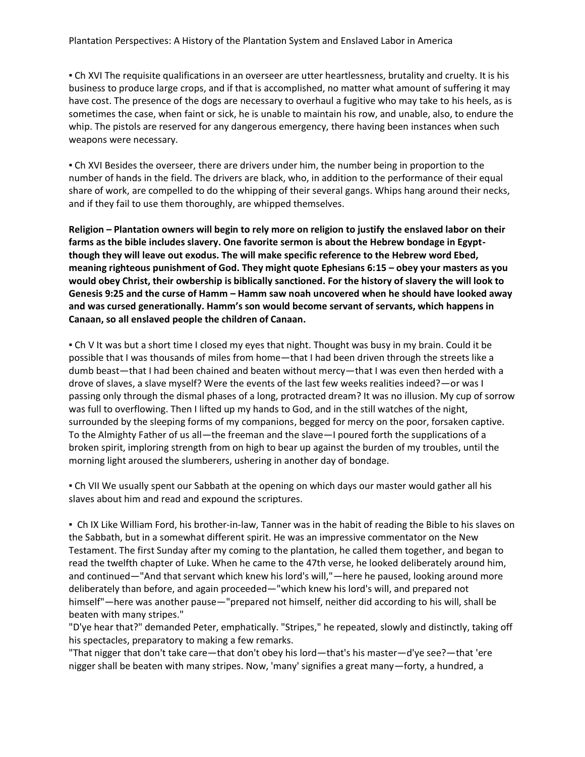#### Plantation Perspectives: A History of the Plantation System and Enslaved Labor in America

▪ Ch XVI The requisite qualifications in an overseer are utter heartlessness, brutality and cruelty. It is his business to produce large crops, and if that is accomplished, no matter what amount of suffering it may have cost. The presence of the dogs are necessary to overhaul a fugitive who may take to his heels, as is sometimes the case, when faint or sick, he is unable to maintain his row, and unable, also, to endure the whip. The pistols are reserved for any dangerous emergency, there having been instances when such weapons were necessary.

▪ Ch XVI Besides the overseer, there are drivers under him, the number being in proportion to the number of hands in the field. The drivers are black, who, in addition to the performance of their equal share of work, are compelled to do the whipping of their several gangs. Whips hang around their necks, and if they fail to use them thoroughly, are whipped themselves.

**Religion – Plantation owners will begin to rely more on religion to justify the enslaved labor on their farms as the bible includes slavery. One favorite sermon is about the Hebrew bondage in Egyptthough they will leave out exodus. The will make specific reference to the Hebrew word Ebed, meaning righteous punishment of God. They might quote Ephesians 6:15 – obey your masters as you would obey Christ, their owbership is biblically sanctioned. For the history of slavery the will look to Genesis 9:25 and the curse of Hamm – Hamm saw noah uncovered when he should have looked away and was cursed generationally. Hamm's son would become servant of servants, which happens in Canaan, so all enslaved people the children of Canaan.**

▪ Ch V It was but a short time I closed my eyes that night. Thought was busy in my brain. Could it be possible that I was thousands of miles from home—that I had been driven through the streets like a dumb beast—that I had been chained and beaten without mercy—that I was even then herded with a drove of slaves, a slave myself? Were the events of the last few weeks realities indeed?—or was I passing only through the dismal phases of a long, protracted dream? It was no illusion. My cup of sorrow was full to overflowing. Then I lifted up my hands to God, and in the still watches of the night, surrounded by the sleeping forms of my companions, begged for mercy on the poor, forsaken captive. To the Almighty Father of us all—the freeman and the slave—I poured forth the supplications of a broken spirit, imploring strength from on high to bear up against the burden of my troubles, until the morning light aroused the slumberers, ushering in another day of bondage.

▪ Ch VII We usually spent our Sabbath at the opening on which days our master would gather all his slaves about him and read and expound the scriptures.

▪ Ch IX Like William Ford, his brother-in-law, Tanner was in the habit of reading the Bible to his slaves on the Sabbath, but in a somewhat different spirit. He was an impressive commentator on the New Testament. The first Sunday after my coming to the plantation, he called them together, and began to read the twelfth chapter of Luke. When he came to the 47th verse, he looked deliberately around him, and continued—"And that servant which knew his lord's will,"—here he paused, looking around more deliberately than before, and again proceeded—"which knew his lord's will, and prepared not himself"—here was another pause—"prepared not himself, neither did according to his will, shall be beaten with many stripes."

"D'ye hear that?" demanded Peter, emphatically. "Stripes," he repeated, slowly and distinctly, taking off his spectacles, preparatory to making a few remarks.

"That nigger that don't take care—that don't obey his lord—that's his master—d'ye see?—that 'ere nigger shall be beaten with many stripes. Now, 'many' signifies a great many—forty, a hundred, a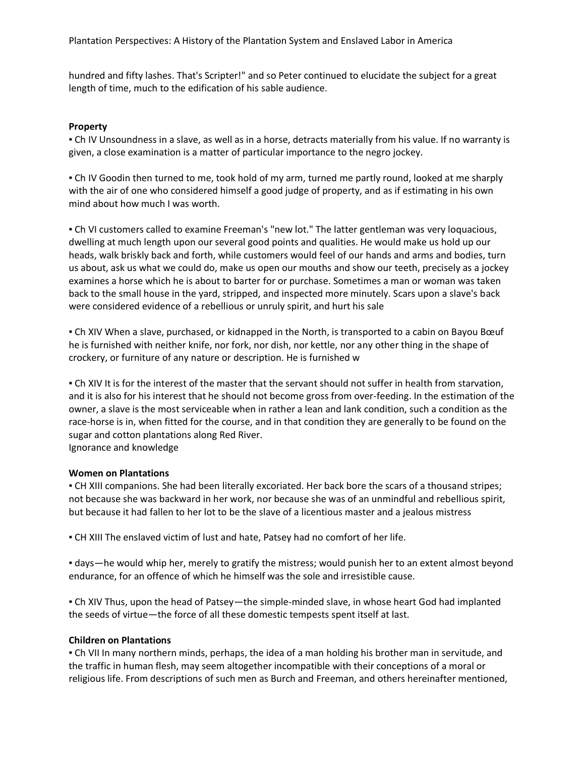Plantation Perspectives: A History of the Plantation System and Enslaved Labor in America

hundred and fifty lashes. That's Scripter!" and so Peter continued to elucidate the subject for a great length of time, much to the edification of his sable audience.

#### **Property**

▪ Ch IV Unsoundness in a slave, as well as in a horse, detracts materially from his value. If no warranty is given, a close examination is a matter of particular importance to the negro jockey.

▪ Ch IV Goodin then turned to me, took hold of my arm, turned me partly round, looked at me sharply with the air of one who considered himself a good judge of property, and as if estimating in his own mind about how much I was worth.

▪ Ch VI customers called to examine Freeman's "new lot." The latter gentleman was very loquacious, dwelling at much length upon our several good points and qualities. He would make us hold up our heads, walk briskly back and forth, while customers would feel of our hands and arms and bodies, turn us about, ask us what we could do, make us open our mouths and show our teeth, precisely as a jockey examines a horse which he is about to barter for or purchase. Sometimes a man or woman was taken back to the small house in the yard, stripped, and inspected more minutely. Scars upon a slave's back were considered evidence of a rebellious or unruly spirit, and hurt his sale

▪ Ch XIV When a slave, purchased, or kidnapped in the North, is transported to a cabin on Bayou Bœuf he is furnished with neither knife, nor fork, nor dish, nor kettle, nor any other thing in the shape of crockery, or furniture of any nature or description. He is furnished w

▪ Ch XIV It is for the interest of the master that the servant should not suffer in health from starvation, and it is also for his interest that he should not become gross from over-feeding. In the estimation of the owner, a slave is the most serviceable when in rather a lean and lank condition, such a condition as the race-horse is in, when fitted for the course, and in that condition they are generally to be found on the sugar and cotton plantations along Red River.

Ignorance and knowledge

#### **Women on Plantations**

▪ CH XIII companions. She had been literally excoriated. Her back bore the scars of a thousand stripes; not because she was backward in her work, nor because she was of an unmindful and rebellious spirit, but because it had fallen to her lot to be the slave of a licentious master and a jealous mistress

▪ CH XIII The enslaved victim of lust and hate, Patsey had no comfort of her life.

· days—he would whip her, merely to gratify the mistress; would punish her to an extent almost beyond endurance, for an offence of which he himself was the sole and irresistible cause.

▪ Ch XIV Thus, upon the head of Patsey—the simple-minded slave, in whose heart God had implanted the seeds of virtue—the force of all these domestic tempests spent itself at last.

#### **Children on Plantations**

▪ Ch VII In many northern minds, perhaps, the idea of a man holding his brother man in servitude, and the traffic in human flesh, may seem altogether incompatible with their conceptions of a moral or religious life. From descriptions of such men as Burch and Freeman, and others hereinafter mentioned,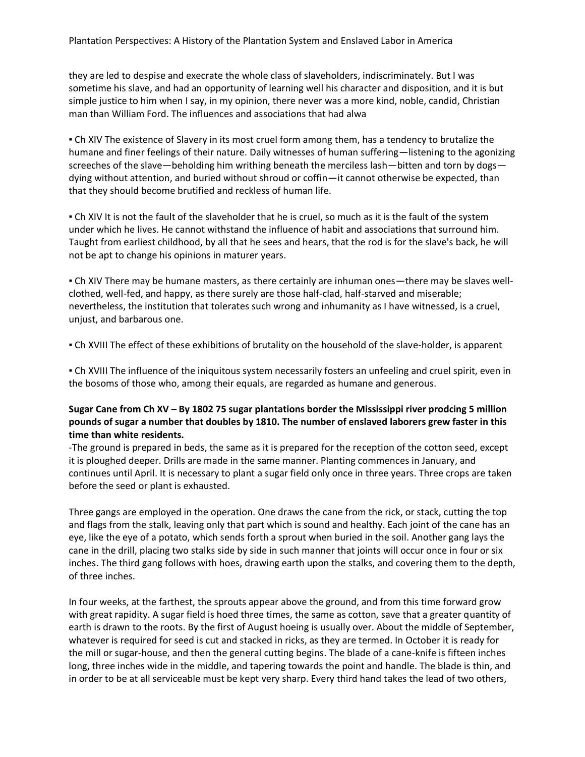they are led to despise and execrate the whole class of slaveholders, indiscriminately. But I was sometime his slave, and had an opportunity of learning well his character and disposition, and it is but simple justice to him when I say, in my opinion, there never was a more kind, noble, candid, Christian man than William Ford. The influences and associations that had alwa

. Ch XIV The existence of Slavery in its most cruel form among them, has a tendency to brutalize the humane and finer feelings of their nature. Daily witnesses of human suffering—listening to the agonizing screeches of the slave—beholding him writhing beneath the merciless lash—bitten and torn by dogs dying without attention, and buried without shroud or coffin—it cannot otherwise be expected, than that they should become brutified and reckless of human life.

▪ Ch XIV It is not the fault of the slaveholder that he is cruel, so much as it is the fault of the system under which he lives. He cannot withstand the influence of habit and associations that surround him. Taught from earliest childhood, by all that he sees and hears, that the rod is for the slave's back, he will not be apt to change his opinions in maturer years.

▪ Ch XIV There may be humane masters, as there certainly are inhuman ones—there may be slaves wellclothed, well-fed, and happy, as there surely are those half-clad, half-starved and miserable; nevertheless, the institution that tolerates such wrong and inhumanity as I have witnessed, is a cruel, unjust, and barbarous one.

▪ Ch XVIII The effect of these exhibitions of brutality on the household of the slave-holder, is apparent

▪ Ch XVIII The influence of the iniquitous system necessarily fosters an unfeeling and cruel spirit, even in the bosoms of those who, among their equals, are regarded as humane and generous.

# **Sugar Cane from Ch XV – By 1802 75 sugar plantations border the Mississippi river prodcing 5 million pounds of sugar a number that doubles by 1810. The number of enslaved laborers grew faster in this time than white residents.**

-The ground is prepared in beds, the same as it is prepared for the reception of the cotton seed, except it is ploughed deeper. Drills are made in the same manner. Planting commences in January, and continues until April. It is necessary to plant a sugar field only once in three years. Three crops are taken before the seed or plant is exhausted.

Three gangs are employed in the operation. One draws the cane from the rick, or stack, cutting the top and flags from the stalk, leaving only that part which is sound and healthy. Each joint of the cane has an eye, like the eye of a potato, which sends forth a sprout when buried in the soil. Another gang lays the cane in the drill, placing two stalks side by side in such manner that joints will occur once in four or six inches. The third gang follows with hoes, drawing earth upon the stalks, and covering them to the depth, of three inches.

In four weeks, at the farthest, the sprouts appear above the ground, and from this time forward grow with great rapidity. A sugar field is hoed three times, the same as cotton, save that a greater quantity of earth is drawn to the roots. By the first of August hoeing is usually over. About the middle of September, whatever is required for seed is cut and stacked in ricks, as they are termed. In October it is ready for the mill or sugar-house, and then the general cutting begins. The blade of a cane-knife is fifteen inches long, three inches wide in the middle, and tapering towards the point and handle. The blade is thin, and in order to be at all serviceable must be kept very sharp. Every third hand takes the lead of two others,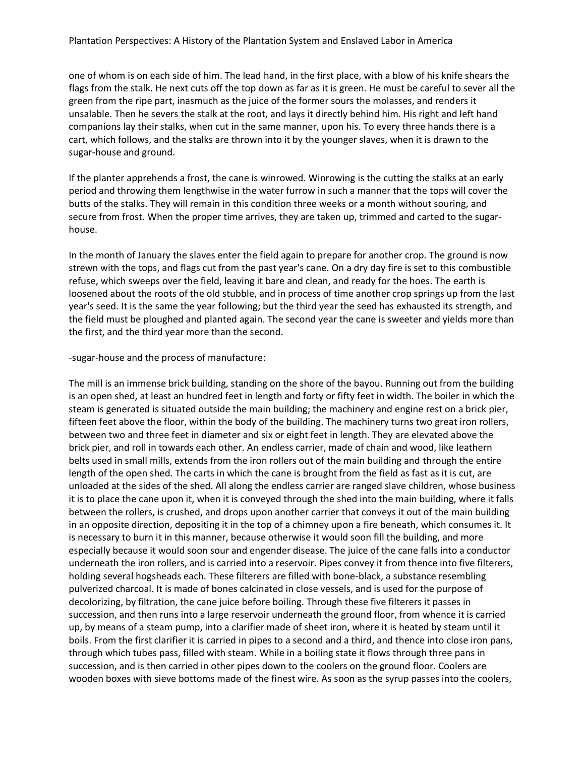one of whom is on each side of him. The lead hand, in the first place, with a blow of his knife shears the flags from the stalk. He next cuts off the top down as far as it is green. He must be careful to sever all the green from the ripe part, inasmuch as the juice of the former sours the molasses, and renders it unsalable. Then he severs the stalk at the root, and lays it directly behind him. His right and left hand companions lay their stalks, when cut in the same manner, upon his. To every three hands there is a cart, which follows, and the stalks are thrown into it by the younger slaves, when it is drawn to the sugar-house and ground.

If the planter apprehends a frost, the cane is winrowed. Winrowing is the cutting the stalks at an early period and throwing them lengthwise in the water furrow in such a manner that the tops will cover the butts of the stalks. They will remain in this condition three weeks or a month without souring, and secure from frost. When the proper time arrives, they are taken up, trimmed and carted to the sugarhouse.

In the month of January the slaves enter the field again to prepare for another crop. The ground is now strewn with the tops, and flags cut from the past year's cane. On a dry day fire is set to this combustible refuse, which sweeps over the field, leaving it bare and clean, and ready for the hoes. The earth is loosened about the roots of the old stubble, and in process of time another crop springs up from the last year's seed. It is the same the year following; but the third year the seed has exhausted its strength, and the field must be ploughed and planted again. The second year the cane is sweeter and yields more than the first, and the third year more than the second.

# -sugar-house and the process of manufacture:

The mill is an immense brick building, standing on the shore of the bayou. Running out from the building is an open shed, at least an hundred feet in length and forty or fifty feet in width. The boiler in which the steam is generated is situated outside the main building; the machinery and engine rest on a brick pier, fifteen feet above the floor, within the body of the building. The machinery turns two great iron rollers, between two and three feet in diameter and six or eight feet in length. They are elevated above the brick pier, and roll in towards each other. An endless carrier, made of chain and wood, like leathern belts used in small mills, extends from the iron rollers out of the main building and through the entire length of the open shed. The carts in which the cane is brought from the field as fast as it is cut, are unloaded at the sides of the shed. All along the endless carrier are ranged slave children, whose business it is to place the cane upon it, when it is conveyed through the shed into the main building, where it falls between the rollers, is crushed, and drops upon another carrier that conveys it out of the main building in an opposite direction, depositing it in the top of a chimney upon a fire beneath, which consumes it. It is necessary to burn it in this manner, because otherwise it would soon fill the building, and more especially because it would soon sour and engender disease. The juice of the cane falls into a conductor underneath the iron rollers, and is carried into a reservoir. Pipes convey it from thence into five filterers, holding several hogsheads each. These filterers are filled with bone-black, a substance resembling pulverized charcoal. It is made of bones calcinated in close vessels, and is used for the purpose of decolorizing, by filtration, the cane juice before boiling. Through these five filterers it passes in succession, and then runs into a large reservoir underneath the ground floor, from whence it is carried up, by means of a steam pump, into a clarifier made of sheet iron, where it is heated by steam until it boils. From the first clarifier it is carried in pipes to a second and a third, and thence into close iron pans, through which tubes pass, filled with steam. While in a boiling state it flows through three pans in succession, and is then carried in other pipes down to the coolers on the ground floor. Coolers are wooden boxes with sieve bottoms made of the finest wire. As soon as the syrup passes into the coolers,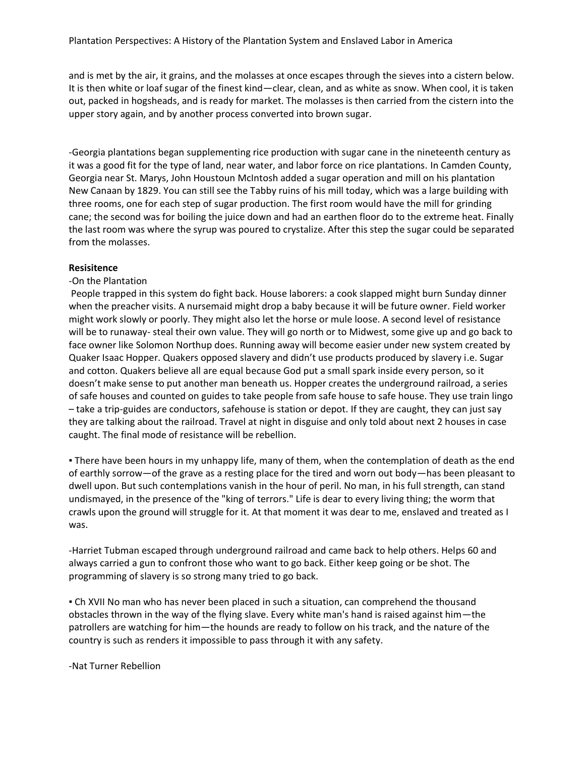and is met by the air, it grains, and the molasses at once escapes through the sieves into a cistern below. It is then white or loaf sugar of the finest kind—clear, clean, and as white as snow. When cool, it is taken out, packed in hogsheads, and is ready for market. The molasses is then carried from the cistern into the upper story again, and by another process converted into brown sugar.

-Georgia plantations began supplementing rice production with sugar cane in the nineteenth century as it was a good fit for the type of land, near water, and labor force on rice plantations. In Camden County, Georgia near St. Marys, John Houstoun McIntosh added a sugar operation and mill on his plantation New Canaan by 1829. You can still see the Tabby ruins of his mill today, which was a large building with three rooms, one for each step of sugar production. The first room would have the mill for grinding cane; the second was for boiling the juice down and had an earthen floor do to the extreme heat. Finally the last room was where the syrup was poured to crystalize. After this step the sugar could be separated from the molasses.

#### **Resisitence**

#### -On the Plantation

People trapped in this system do fight back. House laborers: a cook slapped might burn Sunday dinner when the preacher visits. A nursemaid might drop a baby because it will be future owner. Field worker might work slowly or poorly. They might also let the horse or mule loose. A second level of resistance will be to runaway- steal their own value. They will go north or to Midwest, some give up and go back to face owner like Solomon Northup does. Running away will become easier under new system created by Quaker Isaac Hopper. Quakers opposed slavery and didn't use products produced by slavery i.e. Sugar and cotton. Quakers believe all are equal because God put a small spark inside every person, so it doesn't make sense to put another man beneath us. Hopper creates the underground railroad, a series of safe houses and counted on guides to take people from safe house to safe house. They use train lingo – take a trip-guides are conductors, safehouse is station or depot. If they are caught, they can just say they are talking about the railroad. Travel at night in disguise and only told about next 2 houses in case caught. The final mode of resistance will be rebellion.

**• There have been hours in my unhappy life, many of them, when the contemplation of death as the end** of earthly sorrow—of the grave as a resting place for the tired and worn out body—has been pleasant to dwell upon. But such contemplations vanish in the hour of peril. No man, in his full strength, can stand undismayed, in the presence of the "king of terrors." Life is dear to every living thing; the worm that crawls upon the ground will struggle for it. At that moment it was dear to me, enslaved and treated as I was.

-Harriet Tubman escaped through underground railroad and came back to help others. Helps 60 and always carried a gun to confront those who want to go back. Either keep going or be shot. The programming of slavery is so strong many tried to go back.

▪ Ch XVII No man who has never been placed in such a situation, can comprehend the thousand obstacles thrown in the way of the flying slave. Every white man's hand is raised against him—the patrollers are watching for him—the hounds are ready to follow on his track, and the nature of the country is such as renders it impossible to pass through it with any safety.

-Nat Turner Rebellion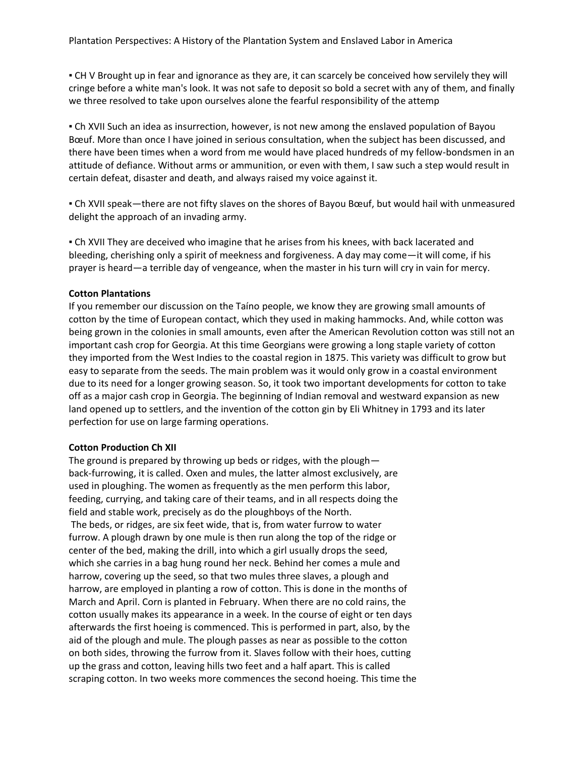▪ CH V Brought up in fear and ignorance as they are, it can scarcely be conceived how servilely they will cringe before a white man's look. It was not safe to deposit so bold a secret with any of them, and finally we three resolved to take upon ourselves alone the fearful responsibility of the attemp

▪ Ch XVII Such an idea as insurrection, however, is not new among the enslaved population of Bayou Bœuf. More than once I have joined in serious consultation, when the subject has been discussed, and there have been times when a word from me would have placed hundreds of my fellow-bondsmen in an attitude of defiance. Without arms or ammunition, or even with them, I saw such a step would result in certain defeat, disaster and death, and always raised my voice against it.

▪ Ch XVII speak—there are not fifty slaves on the shores of Bayou Bœuf, but would hail with unmeasured delight the approach of an invading army.

▪ Ch XVII They are deceived who imagine that he arises from his knees, with back lacerated and bleeding, cherishing only a spirit of meekness and forgiveness. A day may come—it will come, if his prayer is heard—a terrible day of vengeance, when the master in his turn will cry in vain for mercy.

# **Cotton Plantations**

If you remember our discussion on the Taíno people, we know they are growing small amounts of cotton by the time of European contact, which they used in making hammocks. And, while cotton was being grown in the colonies in small amounts, even after the American Revolution cotton was still not an important cash crop for Georgia. At this time Georgians were growing a long staple variety of cotton they imported from the West Indies to the coastal region in 1875. This variety was difficult to grow but easy to separate from the seeds. The main problem was it would only grow in a coastal environment due to its need for a longer growing season. So, it took two important developments for cotton to take off as a major cash crop in Georgia. The beginning of Indian removal and westward expansion as new land opened up to settlers, and the invention of the cotton gin by Eli Whitney in 1793 and its later perfection for use on large farming operations.

# **Cotton Production Ch XII**

The ground is prepared by throwing up beds or ridges, with the plough back-furrowing, it is called. Oxen and mules, the latter almost exclusively, are used in ploughing. The women as frequently as the men perform this labor, feeding, currying, and taking care of their teams, and in all respects doing the field and stable work, precisely as do the ploughboys of the North. The beds, or ridges, are six feet wide, that is, from water furrow to water

furrow. A plough drawn by one mule is then run along the top of the ridge or center of the bed, making the drill, into which a girl usually drops the seed, which she carries in a bag hung round her neck. Behind her comes a mule and harrow, covering up the seed, so that two mules three slaves, a plough and harrow, are employed in planting a row of cotton. This is done in the months of March and April. Corn is planted in February. When there are no cold rains, the cotton usually makes its appearance in a week. In the course of eight or ten days afterwards the first hoeing is commenced. This is performed in part, also, by the aid of the plough and mule. The plough passes as near as possible to the cotton on both sides, throwing the furrow from it. Slaves follow with their hoes, cutting up the grass and cotton, leaving hills two feet and a half apart. This is called scraping cotton. In two weeks more commences the second hoeing. This time the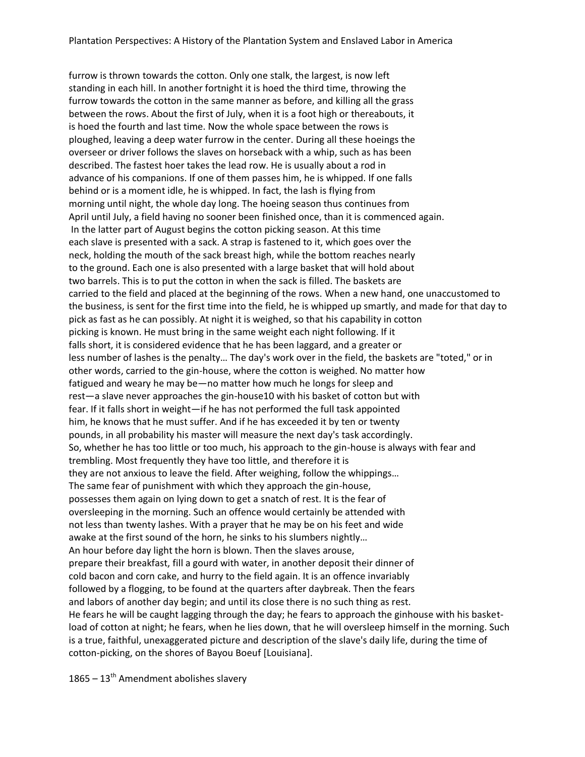furrow is thrown towards the cotton. Only one stalk, the largest, is now left standing in each hill. In another fortnight it is hoed the third time, throwing the furrow towards the cotton in the same manner as before, and killing all the grass between the rows. About the first of July, when it is a foot high or thereabouts, it is hoed the fourth and last time. Now the whole space between the rows is ploughed, leaving a deep water furrow in the center. During all these hoeings the overseer or driver follows the slaves on horseback with a whip, such as has been described. The fastest hoer takes the lead row. He is usually about a rod in advance of his companions. If one of them passes him, he is whipped. If one falls behind or is a moment idle, he is whipped. In fact, the lash is flying from morning until night, the whole day long. The hoeing season thus continues from April until July, a field having no sooner been finished once, than it is commenced again. In the latter part of August begins the cotton picking season. At this time each slave is presented with a sack. A strap is fastened to it, which goes over the neck, holding the mouth of the sack breast high, while the bottom reaches nearly to the ground. Each one is also presented with a large basket that will hold about two barrels. This is to put the cotton in when the sack is filled. The baskets are carried to the field and placed at the beginning of the rows. When a new hand, one unaccustomed to the business, is sent for the first time into the field, he is whipped up smartly, and made for that day to pick as fast as he can possibly. At night it is weighed, so that his capability in cotton picking is known. He must bring in the same weight each night following. If it falls short, it is considered evidence that he has been laggard, and a greater or less number of lashes is the penalty… The day's work over in the field, the baskets are "toted," or in other words, carried to the gin-house, where the cotton is weighed. No matter how fatigued and weary he may be—no matter how much he longs for sleep and rest—a slave never approaches the gin-house10 with his basket of cotton but with fear. If it falls short in weight—if he has not performed the full task appointed him, he knows that he must suffer. And if he has exceeded it by ten or twenty pounds, in all probability his master will measure the next day's task accordingly. So, whether he has too little or too much, his approach to the gin-house is always with fear and trembling. Most frequently they have too little, and therefore it is they are not anxious to leave the field. After weighing, follow the whippings… The same fear of punishment with which they approach the gin-house, possesses them again on lying down to get a snatch of rest. It is the fear of oversleeping in the morning. Such an offence would certainly be attended with not less than twenty lashes. With a prayer that he may be on his feet and wide awake at the first sound of the horn, he sinks to his slumbers nightly… An hour before day light the horn is blown. Then the slaves arouse, prepare their breakfast, fill a gourd with water, in another deposit their dinner of cold bacon and corn cake, and hurry to the field again. It is an offence invariably followed by a flogging, to be found at the quarters after daybreak. Then the fears and labors of another day begin; and until its close there is no such thing as rest. He fears he will be caught lagging through the day; he fears to approach the ginhouse with his basketload of cotton at night; he fears, when he lies down, that he will oversleep himself in the morning. Such is a true, faithful, unexaggerated picture and description of the slave's daily life, during the time of cotton-picking, on the shores of Bayou Boeuf [Louisiana].